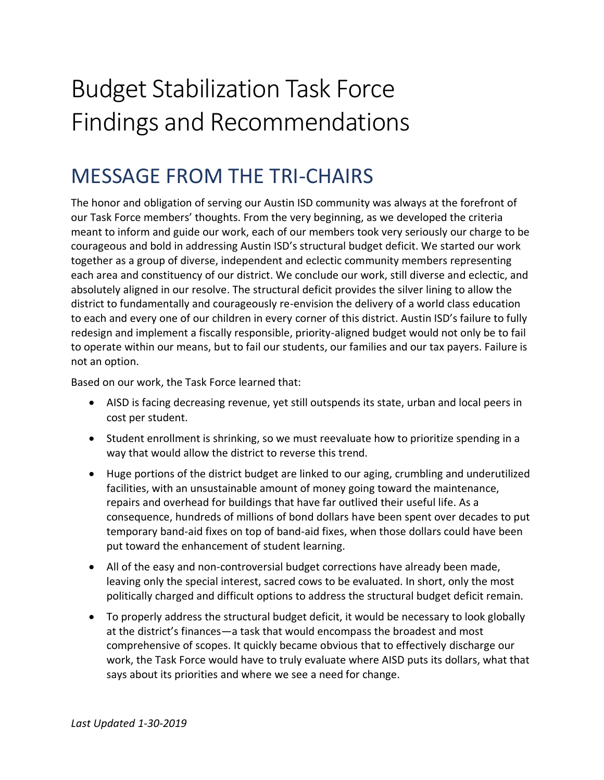# Budget Stabilization Task Force Findings and Recommendations

## MESSAGE FROM THE TRI-CHAIRS

The honor and obligation of serving our Austin ISD community was always at the forefront of our Task Force members' thoughts. From the very beginning, as we developed the criteria meant to inform and guide our work, each of our members took very seriously our charge to be courageous and bold in addressing Austin ISD's structural budget deficit. We started our work together as a group of diverse, independent and eclectic community members representing each area and constituency of our district. We conclude our work, still diverse and eclectic, and absolutely aligned in our resolve. The structural deficit provides the silver lining to allow the district to fundamentally and courageously re-envision the delivery of a world class education to each and every one of our children in every corner of this district. Austin ISD's failure to fully redesign and implement a fiscally responsible, priority-aligned budget would not only be to fail to operate within our means, but to fail our students, our families and our tax payers. Failure is not an option.

Based on our work, the Task Force learned that:

- AISD is facing decreasing revenue, yet still outspends its state, urban and local peers in cost per student.
- Student enrollment is shrinking, so we must reevaluate how to prioritize spending in a way that would allow the district to reverse this trend.
- Huge portions of the district budget are linked to our aging, crumbling and underutilized facilities, with an unsustainable amount of money going toward the maintenance, repairs and overhead for buildings that have far outlived their useful life. As a consequence, hundreds of millions of bond dollars have been spent over decades to put temporary band-aid fixes on top of band-aid fixes, when those dollars could have been put toward the enhancement of student learning.
- All of the easy and non-controversial budget corrections have already been made, leaving only the special interest, sacred cows to be evaluated. In short, only the most politically charged and difficult options to address the structural budget deficit remain.
- To properly address the structural budget deficit, it would be necessary to look globally at the district's finances—a task that would encompass the broadest and most comprehensive of scopes. It quickly became obvious that to effectively discharge our work, the Task Force would have to truly evaluate where AISD puts its dollars, what that says about its priorities and where we see a need for change.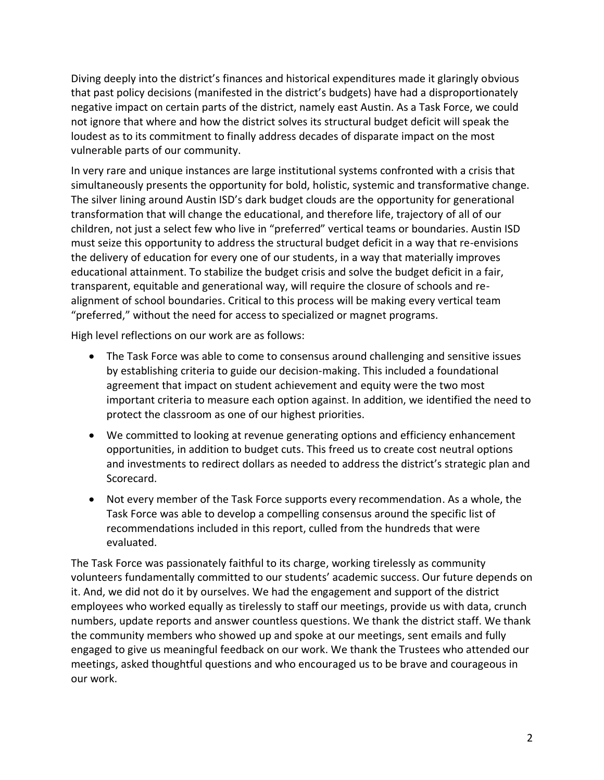Diving deeply into the district's finances and historical expenditures made it glaringly obvious that past policy decisions (manifested in the district's budgets) have had a disproportionately negative impact on certain parts of the district, namely east Austin. As a Task Force, we could not ignore that where and how the district solves its structural budget deficit will speak the loudest as to its commitment to finally address decades of disparate impact on the most vulnerable parts of our community.

In very rare and unique instances are large institutional systems confronted with a crisis that simultaneously presents the opportunity for bold, holistic, systemic and transformative change. The silver lining around Austin ISD's dark budget clouds are the opportunity for generational transformation that will change the educational, and therefore life, trajectory of all of our children, not just a select few who live in "preferred" vertical teams or boundaries. Austin ISD must seize this opportunity to address the structural budget deficit in a way that re-envisions the delivery of education for every one of our students, in a way that materially improves educational attainment. To stabilize the budget crisis and solve the budget deficit in a fair, transparent, equitable and generational way, will require the closure of schools and realignment of school boundaries. Critical to this process will be making every vertical team "preferred," without the need for access to specialized or magnet programs.

High level reflections on our work are as follows:

- The Task Force was able to come to consensus around challenging and sensitive issues by establishing criteria to guide our decision-making. This included a foundational agreement that impact on student achievement and equity were the two most important criteria to measure each option against. In addition, we identified the need to protect the classroom as one of our highest priorities.
- We committed to looking at revenue generating options and efficiency enhancement opportunities, in addition to budget cuts. This freed us to create cost neutral options and investments to redirect dollars as needed to address the district's strategic plan and Scorecard.
- Not every member of the Task Force supports every recommendation. As a whole, the Task Force was able to develop a compelling consensus around the specific list of recommendations included in this report, culled from the hundreds that were evaluated.

The Task Force was passionately faithful to its charge, working tirelessly as community volunteers fundamentally committed to our students' academic success. Our future depends on it. And, we did not do it by ourselves. We had the engagement and support of the district employees who worked equally as tirelessly to staff our meetings, provide us with data, crunch numbers, update reports and answer countless questions. We thank the district staff. We thank the community members who showed up and spoke at our meetings, sent emails and fully engaged to give us meaningful feedback on our work. We thank the Trustees who attended our meetings, asked thoughtful questions and who encouraged us to be brave and courageous in our work.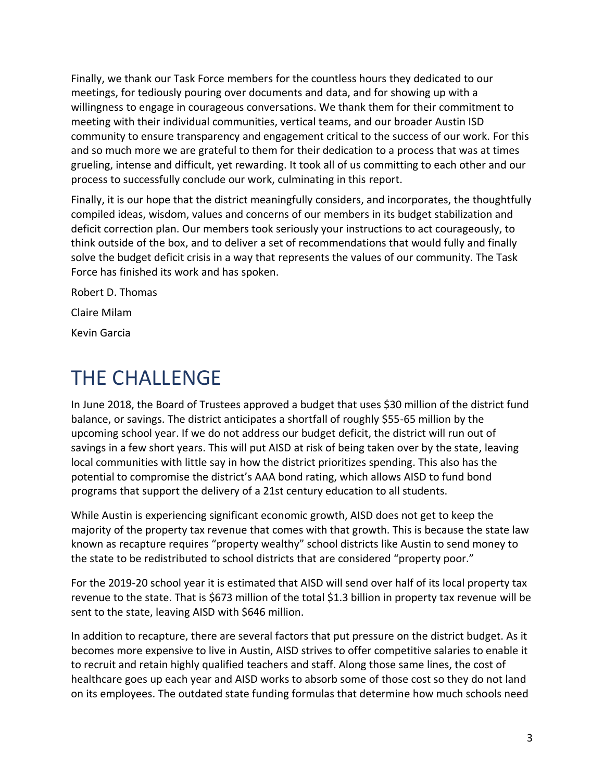Finally, we thank our Task Force members for the countless hours they dedicated to our meetings, for tediously pouring over documents and data, and for showing up with a willingness to engage in courageous conversations. We thank them for their commitment to meeting with their individual communities, vertical teams, and our broader Austin ISD community to ensure transparency and engagement critical to the success of our work. For this and so much more we are grateful to them for their dedication to a process that was at times grueling, intense and difficult, yet rewarding. It took all of us committing to each other and our process to successfully conclude our work, culminating in this report.

Finally, it is our hope that the district meaningfully considers, and incorporates, the thoughtfully compiled ideas, wisdom, values and concerns of our members in its budget stabilization and deficit correction plan. Our members took seriously your instructions to act courageously, to think outside of the box, and to deliver a set of recommendations that would fully and finally solve the budget deficit crisis in a way that represents the values of our community. The Task Force has finished its work and has spoken.

Robert D. Thomas Claire Milam Kevin Garcia

# THE CHALLENGE

In June 2018, the Board of Trustees approved a budget that uses \$30 million of the district fund balance, or savings. The district anticipates a shortfall of roughly \$55-65 million by the upcoming school year. If we do not address our budget deficit, the district will run out of savings in a few short years. This will put AISD at risk of being taken over by the state, leaving local communities with little say in how the district prioritizes spending. This also has the potential to compromise the district's AAA bond rating, which allows AISD to fund bond programs that support the delivery of a 21st century education to all students.

While Austin is experiencing significant economic growth, AISD does not get to keep the majority of the property tax revenue that comes with that growth. This is because the state law known as recapture requires "property wealthy" school districts like Austin to send money to the state to be redistributed to school districts that are considered "property poor."

For the 2019-20 school year it is estimated that AISD will send over half of its local property tax revenue to the state. That is \$673 million of the total \$1.3 billion in property tax revenue will be sent to the state, leaving AISD with \$646 million.

In addition to recapture, there are several factors that put pressure on the district budget. As it becomes more expensive to live in Austin, AISD strives to offer competitive salaries to enable it to recruit and retain highly qualified teachers and staff. Along those same lines, the cost of healthcare goes up each year and AISD works to absorb some of those cost so they do not land on its employees. The outdated state funding formulas that determine how much schools need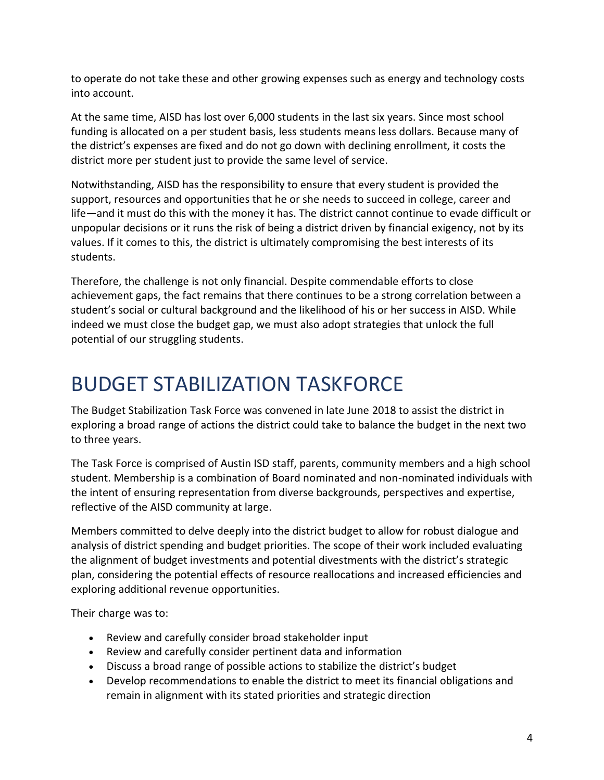to operate do not take these and other growing expenses such as energy and technology costs into account.

At the same time, AISD has lost over 6,000 students in the last six years. Since most school funding is allocated on a per student basis, less students means less dollars. Because many of the district's expenses are fixed and do not go down with declining enrollment, it costs the district more per student just to provide the same level of service.

Notwithstanding, AISD has the responsibility to ensure that every student is provided the support, resources and opportunities that he or she needs to succeed in college, career and life—and it must do this with the money it has. The district cannot continue to evade difficult or unpopular decisions or it runs the risk of being a district driven by financial exigency, not by its values. If it comes to this, the district is ultimately compromising the best interests of its students.

Therefore, the challenge is not only financial. Despite commendable efforts to close achievement gaps, the fact remains that there continues to be a strong correlation between a student's social or cultural background and the likelihood of his or her success in AISD. While indeed we must close the budget gap, we must also adopt strategies that unlock the full potential of our struggling students.

# BUDGET STABILIZATION TASKFORCE

The Budget Stabilization Task Force was convened in late June 2018 to assist the district in exploring a broad range of actions the district could take to balance the budget in the next two to three years.

The Task Force is comprised of Austin ISD staff, parents, community members and a high school student. Membership is a combination of Board nominated and non-nominated individuals with the intent of ensuring representation from diverse backgrounds, perspectives and expertise, reflective of the AISD community at large.

Members committed to delve deeply into the district budget to allow for robust dialogue and analysis of district spending and budget priorities. The scope of their work included evaluating the alignment of budget investments and potential divestments with the district's strategic plan, considering the potential effects of resource reallocations and increased efficiencies and exploring additional revenue opportunities.

Their charge was to:

- Review and carefully consider broad stakeholder input
- Review and carefully consider pertinent data and information
- Discuss a broad range of possible actions to stabilize the district's budget
- Develop recommendations to enable the district to meet its financial obligations and remain in alignment with its stated priorities and strategic direction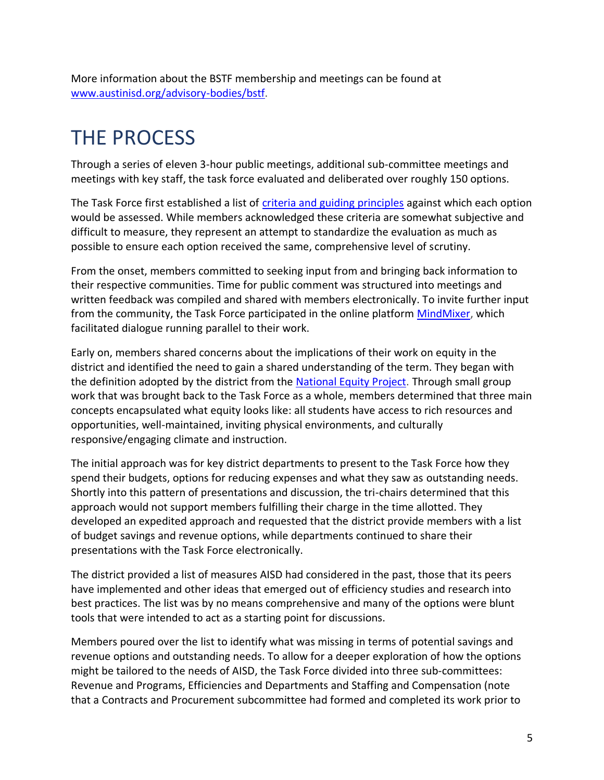More information about the BSTF membership and meetings can be found at [www.austinisd.org/advisory-bodies/bstf.](http://www.austinisd.org/advisory-bodies/bstf)

# THE PROCESS

Through a series of eleven 3-hour public meetings, additional sub-committee meetings and meetings with key staff, the task force evaluated and deliberated over roughly 150 options.

The Task Force first established a list of [criteria and guiding principles](https://www.austinisd.org/sites/default/files/dept/advisory-bodies/docs/BSTF-Principles-and-Criteria.pdf) against which each option would be assessed. While members acknowledged these criteria are somewhat subjective and difficult to measure, they represent an attempt to standardize the evaluation as much as possible to ensure each option received the same, comprehensive level of scrutiny.

From the onset, members committed to seeking input from and bringing back information to their respective communities. Time for public comment was structured into meetings and written feedback was compiled and shared with members electronically. To invite further input from the community, the Task Force participated in the online platform [MindMixer,](http://austinisd.mindmixer.com/) which facilitated dialogue running parallel to their work.

Early on, members shared concerns about the implications of their work on equity in the district and identified the need to gain a shared understanding of the term. They began with the definition adopted by the district from the [National Equity Project.](http://nationalequityproject.org/about/equity) Through small group work that was brought back to the Task Force as a whole, members determined that three main concepts encapsulated what equity looks like: all students have access to rich resources and opportunities, well-maintained, inviting physical environments, and culturally responsive/engaging climate and instruction.

The initial approach was for key district departments to present to the Task Force how they spend their budgets, options for reducing expenses and what they saw as outstanding needs. Shortly into this pattern of presentations and discussion, the tri-chairs determined that this approach would not support members fulfilling their charge in the time allotted. They developed an expedited approach and requested that the district provide members with a list of budget savings and revenue options, while departments continued to share their presentations with the Task Force electronically.

The district provided a list of measures AISD had considered in the past, those that its peers have implemented and other ideas that emerged out of efficiency studies and research into best practices. The list was by no means comprehensive and many of the options were blunt tools that were intended to act as a starting point for discussions.

Members poured over the list to identify what was missing in terms of potential savings and revenue options and outstanding needs. To allow for a deeper exploration of how the options might be tailored to the needs of AISD, the Task Force divided into three sub-committees: Revenue and Programs, Efficiencies and Departments and Staffing and Compensation (note that a Contracts and Procurement subcommittee had formed and completed its work prior to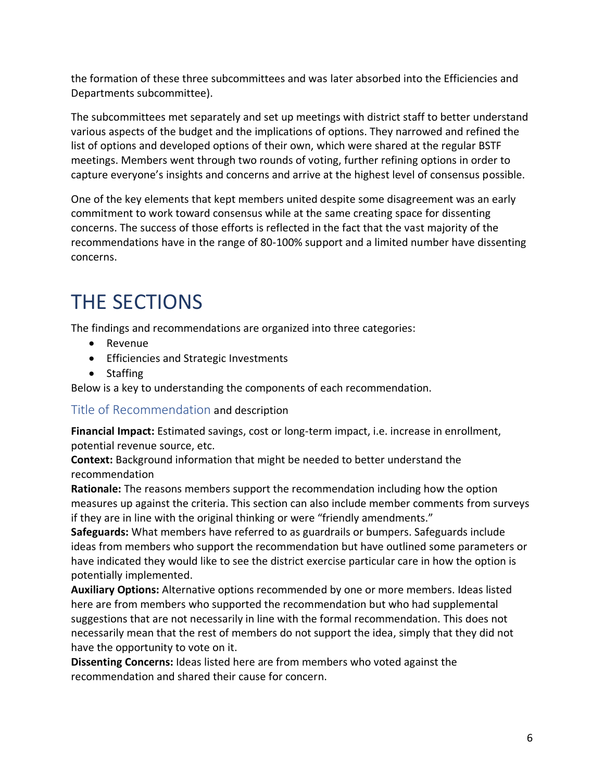the formation of these three subcommittees and was later absorbed into the Efficiencies and Departments subcommittee).

The subcommittees met separately and set up meetings with district staff to better understand various aspects of the budget and the implications of options. They narrowed and refined the list of options and developed options of their own, which were shared at the regular BSTF meetings. Members went through two rounds of voting, further refining options in order to capture everyone's insights and concerns and arrive at the highest level of consensus possible.

One of the key elements that kept members united despite some disagreement was an early commitment to work toward consensus while at the same creating space for dissenting concerns. The success of those efforts is reflected in the fact that the vast majority of the recommendations have in the range of 80-100% support and a limited number have dissenting concerns.

# THE SECTIONS

The findings and recommendations are organized into three categories:

- Revenue
- Efficiencies and Strategic Investments
- Staffing

Below is a key to understanding the components of each recommendation.

Title of Recommendation and description

**Financial Impact:** Estimated savings, cost or long-term impact, i.e. increase in enrollment, potential revenue source, etc.

**Context:** Background information that might be needed to better understand the recommendation

**Rationale:** The reasons members support the recommendation including how the option measures up against the criteria. This section can also include member comments from surveys if they are in line with the original thinking or were "friendly amendments."

**Safeguards:** What members have referred to as guardrails or bumpers. Safeguards include ideas from members who support the recommendation but have outlined some parameters or have indicated they would like to see the district exercise particular care in how the option is potentially implemented.

**Auxiliary Options:** Alternative options recommended by one or more members. Ideas listed here are from members who supported the recommendation but who had supplemental suggestions that are not necessarily in line with the formal recommendation. This does not necessarily mean that the rest of members do not support the idea, simply that they did not have the opportunity to vote on it.

**Dissenting Concerns:** Ideas listed here are from members who voted against the recommendation and shared their cause for concern.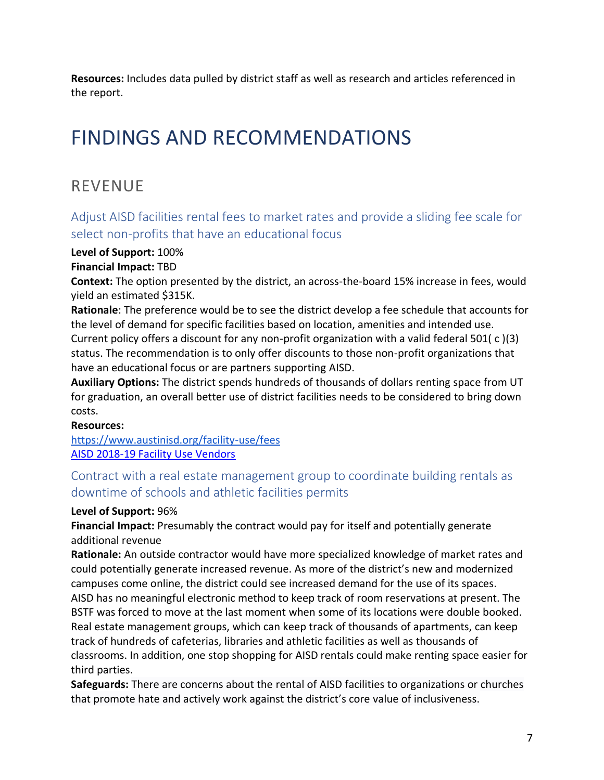**Resources:** Includes data pulled by district staff as well as research and articles referenced in the report.

## FINDINGS AND RECOMMENDATIONS

## REVENUE

Adjust AISD facilities rental fees to market rates and provide a sliding fee scale for select non-profits that have an educational focus

#### **Level of Support:** 100%

**Financial Impact:** TBD

**Context:** The option presented by the district, an across-the-board 15% increase in fees, would yield an estimated \$315K.

**Rationale**: The preference would be to see the district develop a fee schedule that accounts for the level of demand for specific facilities based on location, amenities and intended use. Current policy offers a discount for any non-profit organization with a valid federal 501( c )(3) status. The recommendation is to only offer discounts to those non-profit organizations that have an educational focus or are partners supporting AISD.

**Auxiliary Options:** The district spends hundreds of thousands of dollars renting space from UT for graduation, an overall better use of district facilities needs to be considered to bring down costs.

#### **Resources:**

<https://www.austinisd.org/facility-use/fees> [AISD 2018-19 Facility Use Vendors](https://docs.google.com/spreadsheets/d/1nWUq8pSPeQq_zg1X-JUId3TdUMswAUs_MVkdnZbfYLo/edit#gid=84024817)

## Contract with a real estate management group to coordinate building rentals as downtime of schools and athletic facilities permits

#### **Level of Support:** 96%

**Financial Impact:** Presumably the contract would pay for itself and potentially generate additional revenue

**Rationale:** An outside contractor would have more specialized knowledge of market rates and could potentially generate increased revenue. As more of the district's new and modernized campuses come online, the district could see increased demand for the use of its spaces. AISD has no meaningful electronic method to keep track of room reservations at present. The BSTF was forced to move at the last moment when some of its locations were double booked. Real estate management groups, which can keep track of thousands of apartments, can keep track of hundreds of cafeterias, libraries and athletic facilities as well as thousands of classrooms. In addition, one stop shopping for AISD rentals could make renting space easier for third parties.

**Safeguards:** There are concerns about the rental of AISD facilities to organizations or churches that promote hate and actively work against the district's core value of inclusiveness.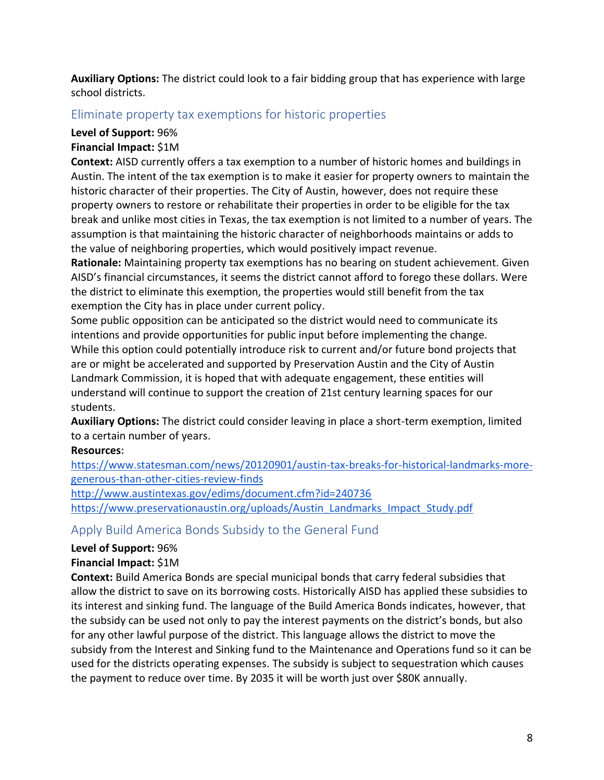**Auxiliary Options:** The district could look to a fair bidding group that has experience with large school districts.

### Eliminate property tax exemptions for historic properties

#### **Level of Support:** 96%

#### **Financial Impact:** \$1M

**Context:** AISD currently offers a tax exemption to a number of historic homes and buildings in Austin. The intent of the tax exemption is to make it easier for property owners to maintain the historic character of their properties. The City of Austin, however, does not require these property owners to restore or rehabilitate their properties in order to be eligible for the tax break and unlike most cities in Texas, the tax exemption is not limited to a number of years. The assumption is that maintaining the historic character of neighborhoods maintains or adds to the value of neighboring properties, which would positively impact revenue.

**Rationale:** Maintaining property tax exemptions has no bearing on student achievement. Given AISD's financial circumstances, it seems the district cannot afford to forego these dollars. Were the district to eliminate this exemption, the properties would still benefit from the tax exemption the City has in place under current policy.

Some public opposition can be anticipated so the district would need to communicate its intentions and provide opportunities for public input before implementing the change. While this option could potentially introduce risk to current and/or future bond projects that are or might be accelerated and supported by Preservation Austin and the City of Austin Landmark Commission, it is hoped that with adequate engagement, these entities will understand will continue to support the creation of 21st century learning spaces for our students.

**Auxiliary Options:** The district could consider leaving in place a short-term exemption, limited to a certain number of years.

#### **Resources:**

[https://www.statesman.com/news/20120901/austin-tax-breaks-for-historical-landmarks-more](https://www.statesman.com/news/20120901/austin-tax-breaks-for-historical-landmarks-more-generous-than-other-cities-review-finds)[generous-than-other-cities-review-finds](https://www.statesman.com/news/20120901/austin-tax-breaks-for-historical-landmarks-more-generous-than-other-cities-review-finds)

<http://www.austintexas.gov/edims/document.cfm?id=240736>

[https://www.preservationaustin.org/uploads/Austin\\_Landmarks\\_Impact\\_Study.pdf](https://www.preservationaustin.org/uploads/Austin_Landmarks_Impact_Study.pdf)

## Apply Build America Bonds Subsidy to the General Fund

#### **Level of Support:** 96%

#### **Financial Impact:** \$1M

**Context:** Build America Bonds are special municipal bonds that carry federal subsidies that allow the district to save on its borrowing costs. Historically AISD has applied these subsidies to its interest and sinking fund. The language of the Build America Bonds indicates, however, that the subsidy can be used not only to pay the interest payments on the district's bonds, but also for any other lawful purpose of the district. This language allows the district to move the subsidy from the Interest and Sinking fund to the Maintenance and Operations fund so it can be used for the districts operating expenses. The subsidy is subject to sequestration which causes the payment to reduce over time. By 2035 it will be worth just over \$80K annually.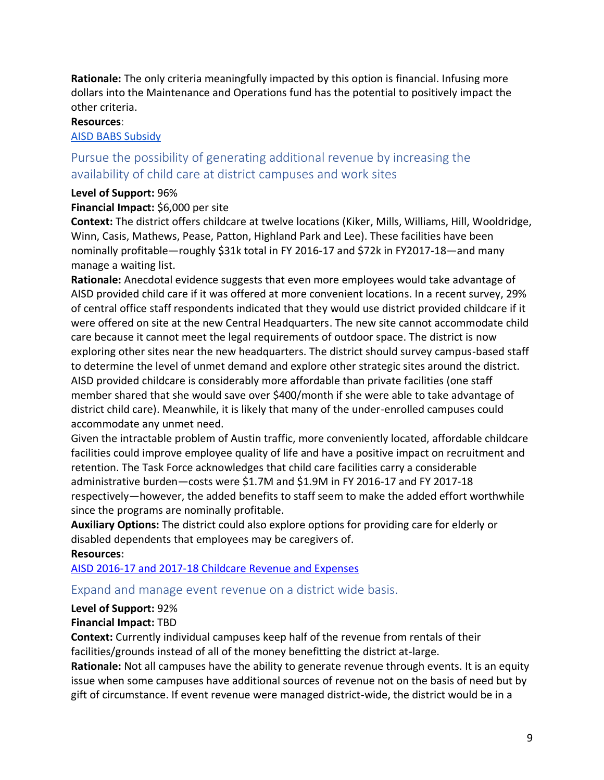**Rationale:** The only criteria meaningfully impacted by this option is financial. Infusing more dollars into the Maintenance and Operations fund has the potential to positively impact the other criteria.

#### **Resources**:

#### [AISD](https://docs.google.com/spreadsheets/d/1HXO909IRSFmpyuCOPRxi4vMElBTYkyTtjRNwsNe2Vg4/edit#gid=988464478) BABS Subsidy

## Pursue the possibility of generating additional revenue by increasing the availability of child care at district campuses and work sites

#### **Level of Support:** 96%

#### **Financial Impact:** \$6,000 per site

**Context:** The district offers childcare at twelve locations (Kiker, Mills, Williams, Hill, Wooldridge, Winn, Casis, Mathews, Pease, Patton, Highland Park and Lee). These facilities have been nominally profitable—roughly \$31k total in FY 2016-17 and \$72k in FY2017-18—and many manage a waiting list.

**Rationale:** Anecdotal evidence suggests that even more employees would take advantage of AISD provided child care if it was offered at more convenient locations. In a recent survey, 29% of central office staff respondents indicated that they would use district provided childcare if it were offered on site at the new Central Headquarters. The new site cannot accommodate child care because it cannot meet the legal requirements of outdoor space. The district is now exploring other sites near the new headquarters. The district should survey campus-based staff to determine the level of unmet demand and explore other strategic sites around the district. AISD provided childcare is considerably more affordable than private facilities (one staff member shared that she would save over \$400/month if she were able to take advantage of district child care). Meanwhile, it is likely that many of the under-enrolled campuses could accommodate any unmet need.

Given the intractable problem of Austin traffic, more conveniently located, affordable childcare facilities could improve employee quality of life and have a positive impact on recruitment and retention. The Task Force acknowledges that child care facilities carry a considerable administrative burden—costs were \$1.7M and \$1.9M in FY 2016-17 and FY 2017-18 respectively—however, the added benefits to staff seem to make the added effort worthwhile since the programs are nominally profitable.

**Auxiliary Options:** The district could also explore options for providing care for elderly or disabled dependents that employees may be caregivers of. **Resources:**

[AISD 2016-17 and 2017-18 Childcare Revenue and Expenses](https://docs.google.com/spreadsheets/d/1L_A-CB30Ko7dFtTaXD10TM_pDXhuNoKtHEeNWY5wNFo/edit#gid=939975289)

#### Expand and manage event revenue on a district wide basis.

#### **Level of Support:** 92%

#### **Financial Impact:** TBD

**Context:** Currently individual campuses keep half of the revenue from rentals of their facilities/grounds instead of all of the money benefitting the district at-large.

**Rationale:** Not all campuses have the ability to generate revenue through events. It is an equity issue when some campuses have additional sources of revenue not on the basis of need but by gift of circumstance. If event revenue were managed district-wide, the district would be in a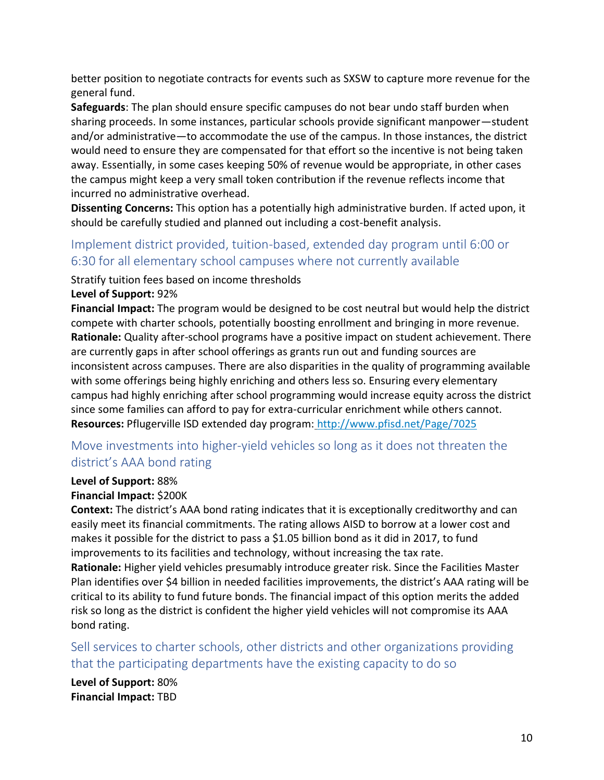better position to negotiate contracts for events such as SXSW to capture more revenue for the general fund.

**Safeguards**: The plan should ensure specific campuses do not bear undo staff burden when sharing proceeds. In some instances, particular schools provide significant manpower—student and/or administrative—to accommodate the use of the campus. In those instances, the district would need to ensure they are compensated for that effort so the incentive is not being taken away. Essentially, in some cases keeping 50% of revenue would be appropriate, in other cases the campus might keep a very small token contribution if the revenue reflects income that incurred no administrative overhead.

**Dissenting Concerns:** This option has a potentially high administrative burden. If acted upon, it should be carefully studied and planned out including a cost-benefit analysis.

## Implement district provided, tuition-based, extended day program until 6:00 or 6:30 for all elementary school campuses where not currently available

Stratify tuition fees based on income thresholds

#### **Level of Support:** 92%

**Financial Impact:** The program would be designed to be cost neutral but would help the district compete with charter schools, potentially boosting enrollment and bringing in more revenue. **Rationale:** Quality after-school programs have a positive impact on student achievement. There are currently gaps in after school offerings as grants run out and funding sources are inconsistent across campuses. There are also disparities in the quality of programming available with some offerings being highly enriching and others less so. Ensuring every elementary campus had highly enriching after school programming would increase equity across the district since some families can afford to pay for extra-curricular enrichment while others cannot. **Resources:** Pflugerville ISD extended day program: <http://www.pfisd.net/Page/7025>

## Move investments into higher-yield vehicles so long as it does not threaten the district's AAA bond rating

#### **Level of Support:** 88%

#### **Financial Impact:** \$200K

**Context:** The district's AAA bond rating indicates that it is exceptionally creditworthy and can easily meet its financial commitments. The rating allows AISD to borrow at a lower cost and makes it possible for the district to pass a \$1.05 billion bond as it did in 2017, to fund improvements to its facilities and technology, without increasing the tax rate.

**Rationale:** Higher yield vehicles presumably introduce greater risk. Since the Facilities Master Plan identifies over \$4 billion in needed facilities improvements, the district's AAA rating will be critical to its ability to fund future bonds. The financial impact of this option merits the added risk so long as the district is confident the higher yield vehicles will not compromise its AAA bond rating.

Sell services to charter schools, other districts and other organizations providing that the participating departments have the existing capacity to do so

**Level of Support:** 80% **Financial Impact:** TBD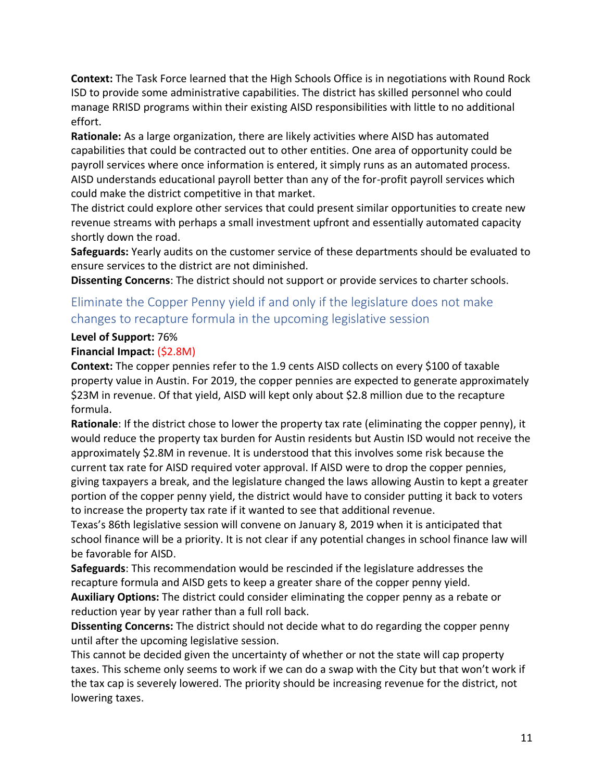**Context:** The Task Force learned that the High Schools Office is in negotiations with Round Rock ISD to provide some administrative capabilities. The district has skilled personnel who could manage RRISD programs within their existing AISD responsibilities with little to no additional effort.

**Rationale:** As a large organization, there are likely activities where AISD has automated capabilities that could be contracted out to other entities. One area of opportunity could be payroll services where once information is entered, it simply runs as an automated process. AISD understands educational payroll better than any of the for-profit payroll services which could make the district competitive in that market.

The district could explore other services that could present similar opportunities to create new revenue streams with perhaps a small investment upfront and essentially automated capacity shortly down the road.

**Safeguards:** Yearly audits on the customer service of these departments should be evaluated to ensure services to the district are not diminished.

**Dissenting Concerns**: The district should not support or provide services to charter schools.

## Eliminate the Copper Penny yield if and only if the legislature does not make changes to recapture formula in the upcoming legislative session

#### **Level of Support:** 76%

#### **Financial Impact:** (\$2.8M)

**Context:** The copper pennies refer to the 1.9 cents AISD collects on every \$100 of taxable property value in Austin. For 2019, the copper pennies are expected to generate approximately \$23M in revenue. Of that yield, AISD will kept only about \$2.8 million due to the recapture formula.

**Rationale**: If the district chose to lower the property tax rate (eliminating the copper penny), it would reduce the property tax burden for Austin residents but Austin ISD would not receive the approximately \$2.8M in revenue. It is understood that this involves some risk because the current tax rate for AISD required voter approval. If AISD were to drop the copper pennies, giving taxpayers a break, and the legislature changed the laws allowing Austin to kept a greater portion of the copper penny yield, the district would have to consider putting it back to voters to increase the property tax rate if it wanted to see that additional revenue.

Texas's 86th legislative session will convene on January 8, 2019 when it is anticipated that school finance will be a priority. It is not clear if any potential changes in school finance law will be favorable for AISD.

**Safeguards**: This recommendation would be rescinded if the legislature addresses the recapture formula and AISD gets to keep a greater share of the copper penny yield. **Auxiliary Options:** The district could consider eliminating the copper penny as a rebate or reduction year by year rather than a full roll back.

**Dissenting Concerns:** The district should not decide what to do regarding the copper penny until after the upcoming legislative session.

This cannot be decided given the uncertainty of whether or not the state will cap property taxes. This scheme only seems to work if we can do a swap with the City but that won't work if the tax cap is severely lowered. The priority should be increasing revenue for the district, not lowering taxes.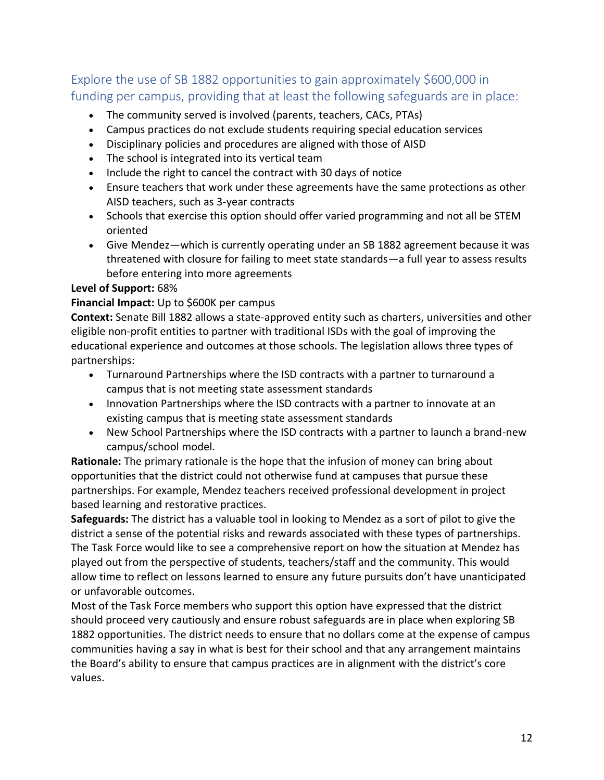## Explore the use of SB 1882 opportunities to gain approximately \$600,000 in funding per campus, providing that at least the following safeguards are in place:

- The community served is involved (parents, teachers, CACs, PTAs)
- Campus practices do not exclude students requiring special education services
- Disciplinary policies and procedures are aligned with those of AISD
- The school is integrated into its vertical team
- Include the right to cancel the contract with 30 days of notice
- Ensure teachers that work under these agreements have the same protections as other AISD teachers, such as 3-year contracts
- Schools that exercise this option should offer varied programming and not all be STEM oriented
- Give Mendez—which is currently operating under an SB 1882 agreement because it was threatened with closure for failing to meet state standards—a full year to assess results before entering into more agreements

#### **Level of Support:** 68%

#### **Financial Impact:** Up to \$600K per campus

**Context:** Senate Bill 1882 allows a state-approved entity such as charters, universities and other eligible non-profit entities to partner with traditional ISDs with the goal of improving the educational experience and outcomes at those schools. The legislation allows three types of partnerships:

- Turnaround Partnerships where the ISD contracts with a partner to turnaround a campus that is not meeting state assessment standards
- Innovation Partnerships where the ISD contracts with a partner to innovate at an existing campus that is meeting state assessment standards
- New School Partnerships where the ISD contracts with a partner to launch a brand-new campus/school model.

**Rationale:** The primary rationale is the hope that the infusion of money can bring about opportunities that the district could not otherwise fund at campuses that pursue these partnerships. For example, Mendez teachers received professional development in project based learning and restorative practices.

**Safeguards:** The district has a valuable tool in looking to Mendez as a sort of pilot to give the district a sense of the potential risks and rewards associated with these types of partnerships. The Task Force would like to see a comprehensive report on how the situation at Mendez has played out from the perspective of students, teachers/staff and the community. This would allow time to reflect on lessons learned to ensure any future pursuits don't have unanticipated or unfavorable outcomes.

Most of the Task Force members who support this option have expressed that the district should proceed very cautiously and ensure robust safeguards are in place when exploring SB 1882 opportunities. The district needs to ensure that no dollars come at the expense of campus communities having a say in what is best for their school and that any arrangement maintains the Board's ability to ensure that campus practices are in alignment with the district's core values.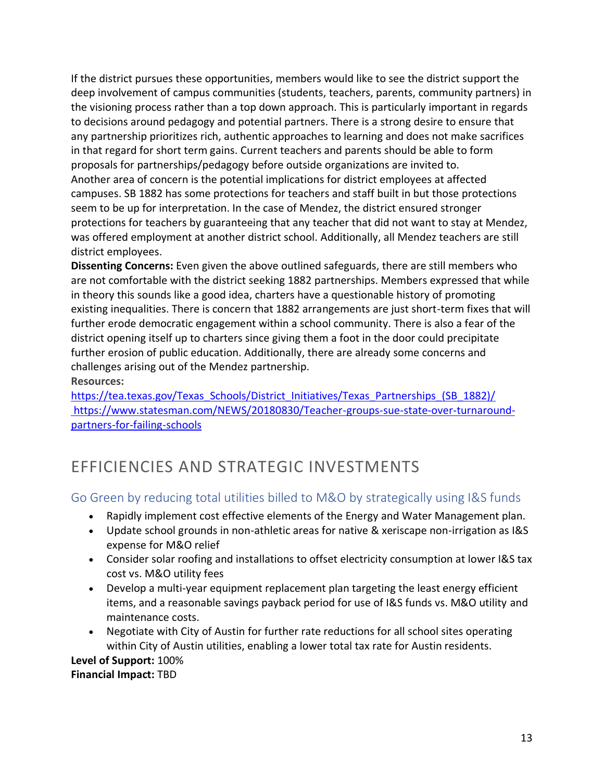If the district pursues these opportunities, members would like to see the district support the deep involvement of campus communities (students, teachers, parents, community partners) in the visioning process rather than a top down approach. This is particularly important in regards to decisions around pedagogy and potential partners. There is a strong desire to ensure that any partnership prioritizes rich, authentic approaches to learning and does not make sacrifices in that regard for short term gains. Current teachers and parents should be able to form proposals for partnerships/pedagogy before outside organizations are invited to. Another area of concern is the potential implications for district employees at affected campuses. SB 1882 has some protections for teachers and staff built in but those protections seem to be up for interpretation. In the case of Mendez, the district ensured stronger protections for teachers by guaranteeing that any teacher that did not want to stay at Mendez, was offered employment at another district school. Additionally, all Mendez teachers are still district employees.

**Dissenting Concerns:** Even given the above outlined safeguards, there are still members who are not comfortable with the district seeking 1882 partnerships. Members expressed that while in theory this sounds like a good idea, charters have a questionable history of promoting existing inequalities. There is concern that 1882 arrangements are just short-term fixes that will further erode democratic engagement within a school community. There is also a fear of the district opening itself up to charters since giving them a foot in the door could precipitate further erosion of public education. Additionally, there are already some concerns and challenges arising out of the Mendez partnership.

**Resources:**

[https://tea.texas.gov/Texas\\_Schools/District\\_Initiatives/Texas\\_Partnerships\\_\(SB\\_1882\)/](https://tea.texas.gov/Texas_Schools/District_Initiatives/Texas_Partnerships_(SB_1882)/) [https://www.statesman.com/NEWS/20180830/Teacher-groups-sue-state-over-turnaround](https://www.statesman.com/NEWS/20180830/Teacher-groups-sue-state-over-turnaround-partners-for-failing-schools)[partners-for-failing-schools](https://www.statesman.com/NEWS/20180830/Teacher-groups-sue-state-over-turnaround-partners-for-failing-schools)

## EFFICIENCIES AND STRATEGIC INVESTMENTS

## Go Green by reducing total utilities billed to M&O by strategically using I&S funds

- Rapidly implement cost effective elements of the Energy and Water Management plan.
- Update school grounds in non-athletic areas for native & xeriscape non-irrigation as I&S expense for M&O relief
- Consider solar roofing and installations to offset electricity consumption at lower I&S tax cost vs. M&O utility fees
- Develop a multi-year equipment replacement plan targeting the least energy efficient items, and a reasonable savings payback period for use of I&S funds vs. M&O utility and maintenance costs.
- Negotiate with City of Austin for further rate reductions for all school sites operating within City of Austin utilities, enabling a lower total tax rate for Austin residents.

**Level of Support:** 100% **Financial Impact:** TBD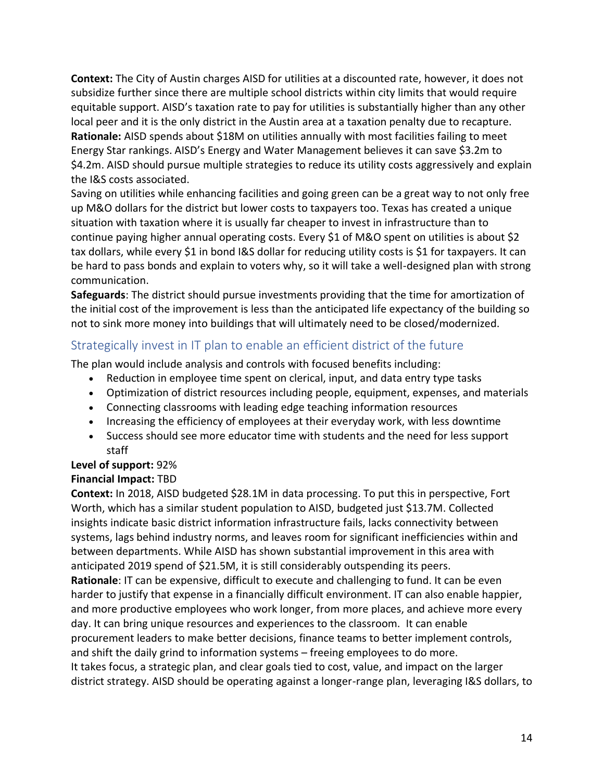**Context:** The City of Austin charges AISD for utilities at a discounted rate, however, it does not subsidize further since there are multiple school districts within city limits that would require equitable support. AISD's taxation rate to pay for utilities is substantially higher than any other local peer and it is the only district in the Austin area at a taxation penalty due to recapture. **Rationale:** AISD spends about \$18M on utilities annually with most facilities failing to meet Energy Star rankings. AISD's Energy and Water Management believes it can save \$3.2m to \$4.2m. AISD should pursue multiple strategies to reduce its utility costs aggressively and explain the I&S costs associated.

Saving on utilities while enhancing facilities and going green can be a great way to not only free up M&O dollars for the district but lower costs to taxpayers too. Texas has created a unique situation with taxation where it is usually far cheaper to invest in infrastructure than to continue paying higher annual operating costs. Every \$1 of M&O spent on utilities is about \$2 tax dollars, while every \$1 in bond I&S dollar for reducing utility costs is \$1 for taxpayers. It can be hard to pass bonds and explain to voters why, so it will take a well-designed plan with strong communication.

**Safeguards**: The district should pursue investments providing that the time for amortization of the initial cost of the improvement is less than the anticipated life expectancy of the building so not to sink more money into buildings that will ultimately need to be closed/modernized.

## Strategically invest in IT plan to enable an efficient district of the future

The plan would include analysis and controls with focused benefits including:

- Reduction in employee time spent on clerical, input, and data entry type tasks
- Optimization of district resources including people, equipment, expenses, and materials
- Connecting classrooms with leading edge teaching information resources
- Increasing the efficiency of employees at their everyday work, with less downtime
- Success should see more educator time with students and the need for less support staff

## **Level of support:** 92%

#### **Financial Impact:** TBD

**Context:** In 2018, AISD budgeted \$28.1M in data processing. To put this in perspective, Fort Worth, which has a similar student population to AISD, budgeted just \$13.7M. Collected insights indicate basic district information infrastructure fails, lacks connectivity between systems, lags behind industry norms, and leaves room for significant inefficiencies within and between departments. While AISD has shown substantial improvement in this area with anticipated 2019 spend of \$21.5M, it is still considerably outspending its peers. **Rationale**: IT can be expensive, difficult to execute and challenging to fund. It can be even harder to justify that expense in a financially difficult environment. IT can also enable happier, and more productive employees who work longer, from more places, and achieve more every day. It can bring unique resources and experiences to the classroom. It can enable procurement leaders to make better decisions, finance teams to better implement controls, and shift the daily grind to information systems – freeing employees to do more. It takes focus, a strategic plan, and clear goals tied to cost, value, and impact on the larger district strategy. AISD should be operating against a longer-range plan, leveraging I&S dollars, to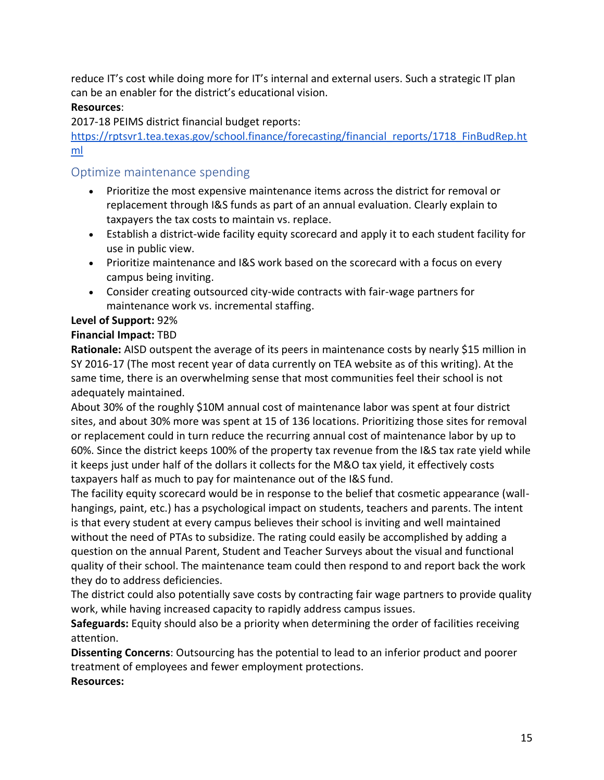reduce IT's cost while doing more for IT's internal and external users. Such a strategic IT plan can be an enabler for the district's educational vision.

#### **Resources**:

2017-18 PEIMS district financial budget reports[:](https://rptsvr1.tea.texas.gov/school.finance/forecasting/financial_reports/1718_FinBudRep.html)

[https://rptsvr1.tea.texas.gov/school.finance/forecasting/financial\\_reports/1718\\_FinBudRep.ht](https://rptsvr1.tea.texas.gov/school.finance/forecasting/financial_reports/1718_FinBudRep.html) [ml](https://rptsvr1.tea.texas.gov/school.finance/forecasting/financial_reports/1718_FinBudRep.html)

## Optimize maintenance spending

- Prioritize the most expensive maintenance items across the district for removal or replacement through I&S funds as part of an annual evaluation. Clearly explain to taxpayers the tax costs to maintain vs. replace.
- Establish a district-wide facility equity scorecard and apply it to each student facility for use in public view.
- Prioritize maintenance and I&S work based on the scorecard with a focus on every campus being inviting.
- Consider creating outsourced city-wide contracts with fair-wage partners for maintenance work vs. incremental staffing.

#### **Level of Support:** 92%

#### **Financial Impact:** TBD

**Rationale:** AISD outspent the average of its peers in maintenance costs by nearly \$15 million in SY 2016-17 (The most recent year of data currently on TEA website as of this writing). At the same time, there is an overwhelming sense that most communities feel their school is not adequately maintained.

About 30% of the roughly \$10M annual cost of maintenance labor was spent at four district sites, and about 30% more was spent at 15 of 136 locations. Prioritizing those sites for removal or replacement could in turn reduce the recurring annual cost of maintenance labor by up to 60%. Since the district keeps 100% of the property tax revenue from the I&S tax rate yield while it keeps just under half of the dollars it collects for the M&O tax yield, it effectively costs taxpayers half as much to pay for maintenance out of the I&S fund.

The facility equity scorecard would be in response to the belief that cosmetic appearance (wallhangings, paint, etc.) has a psychological impact on students, teachers and parents. The intent is that every student at every campus believes their school is inviting and well maintained without the need of PTAs to subsidize. The rating could easily be accomplished by adding a question on the annual Parent, Student and Teacher Surveys about the visual and functional quality of their school. The maintenance team could then respond to and report back the work they do to address deficiencies.

The district could also potentially save costs by contracting fair wage partners to provide quality work, while having increased capacity to rapidly address campus issues.

**Safeguards:** Equity should also be a priority when determining the order of facilities receiving attention.

**Dissenting Concerns**: Outsourcing has the potential to lead to an inferior product and poorer treatment of employees and fewer employment protections. **Resources:**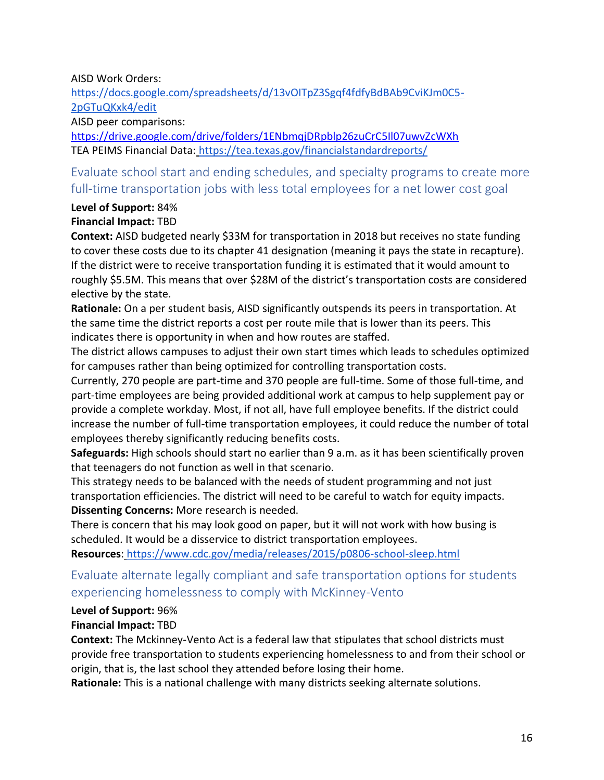#### AISD Work Orders[:](https://drive.google.com/drive/folders/1p6zlRQViX1zuTt7xTU2PCpLC9wHcXd62)

[https://docs.google.com/spreadsheets/d/13vOITpZ3Sgqf4fdfyBdBAb9CviKJm0C5-](https://drive.google.com/drive/folders/1p6zlRQViX1zuTt7xTU2PCpLC9wHcXd62) [2pGTuQKxk4/edit](https://drive.google.com/drive/folders/1p6zlRQViX1zuTt7xTU2PCpLC9wHcXd62)

AISD peer comparisons:

<https://drive.google.com/drive/folders/1ENbmqjDRpblp26zuCrC5Il07uwvZcWXh> TEA PEIMS Financial Data: <https://tea.texas.gov/financialstandardreports/>

Evaluate school start and ending schedules, and specialty programs to create more full-time transportation jobs with less total employees for a net lower cost goal

#### **Level of Support:** 84% **Financial Impact:** TBD

**Context:** AISD budgeted nearly \$33M for transportation in 2018 but receives no state funding to cover these costs due to its chapter 41 designation (meaning it pays the state in recapture). If the district were to receive transportation funding it is estimated that it would amount to roughly \$5.5M. This means that over \$28M of the district's transportation costs are considered elective by the state.

**Rationale:** On a per student basis, AISD significantly outspends its peers in transportation. At the same time the district reports a cost per route mile that is lower than its peers. This indicates there is opportunity in when and how routes are staffed.

The district allows campuses to adjust their own start times which leads to schedules optimized for campuses rather than being optimized for controlling transportation costs.

Currently, 270 people are part-time and 370 people are full-time. Some of those full-time, and part-time employees are being provided additional work at campus to help supplement pay or provide a complete workday. Most, if not all, have full employee benefits. If the district could increase the number of full-time transportation employees, it could reduce the number of total employees thereby significantly reducing benefits costs.

**Safeguards:** High schools should start no earlier than 9 a.m. as it has been scientifically proven that teenagers do not function as well in that scenario.

This strategy needs to be balanced with the needs of student programming and not just transportation efficiencies. The district will need to be careful to watch for equity impacts. **Dissenting Concerns:** More research is needed.

There is concern that his may look good on paper, but it will not work with how busing is scheduled. It would be a disservice to district transportation employees.

**Resources**: <https://www.cdc.gov/media/releases/2015/p0806-school-sleep.html>

## Evaluate alternate legally compliant and safe transportation options for students experiencing homelessness to comply with McKinney-Vento

#### **Level of Support:** 96%

#### **Financial Impact:** TBD

**Context:** The Mckinney-Vento Act is a federal law that stipulates that school districts must provide free transportation to students experiencing homelessness to and from their school or origin, that is, the last school they attended before losing their home.

**Rationale:** This is a national challenge with many districts seeking alternate solutions.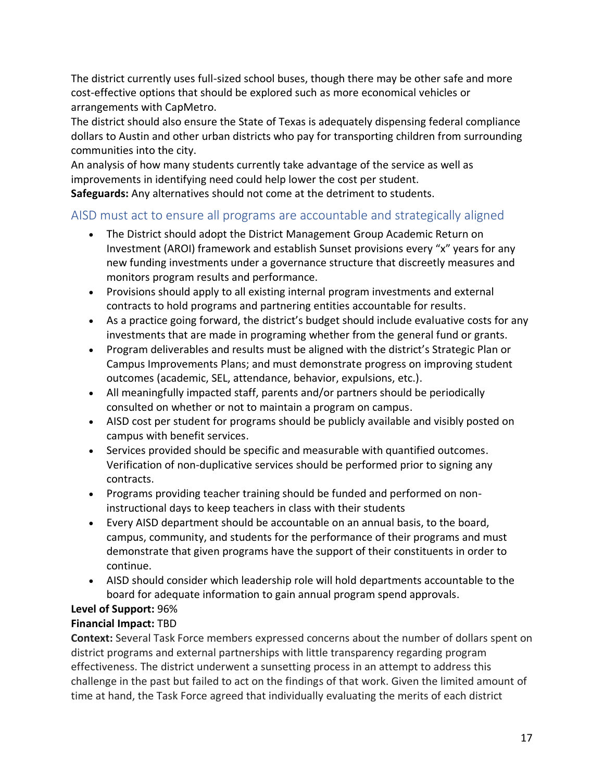The district currently uses full-sized school buses, though there may be other safe and more cost-effective options that should be explored such as more economical vehicles or arrangements with CapMetro.

The district should also ensure the State of Texas is adequately dispensing federal compliance dollars to Austin and other urban districts who pay for transporting children from surrounding communities into the city.

An analysis of how many students currently take advantage of the service as well as improvements in identifying need could help lower the cost per student.

**Safeguards:** Any alternatives should not come at the detriment to students.

## AISD must act to ensure all programs are accountable and strategically aligned

- The District should adopt the District Management Group Academic Return on Investment (AROI) framework and establish Sunset provisions every "x" years for any new funding investments under a governance structure that discreetly measures and monitors program results and performance.
- Provisions should apply to all existing internal program investments and external contracts to hold programs and partnering entities accountable for results.
- As a practice going forward, the district's budget should include evaluative costs for any investments that are made in programing whether from the general fund or grants.
- Program deliverables and results must be aligned with the district's Strategic Plan or Campus Improvements Plans; and must demonstrate progress on improving student outcomes (academic, SEL, attendance, behavior, expulsions, etc.).
- All meaningfully impacted staff, parents and/or partners should be periodically consulted on whether or not to maintain a program on campus.
- AISD cost per student for programs should be publicly available and visibly posted on campus with benefit services.
- Services provided should be specific and measurable with quantified outcomes. Verification of non-duplicative services should be performed prior to signing any contracts.
- Programs providing teacher training should be funded and performed on noninstructional days to keep teachers in class with their students
- Every AISD department should be accountable on an annual basis, to the board, campus, community, and students for the performance of their programs and must demonstrate that given programs have the support of their constituents in order to continue.
- AISD should consider which leadership role will hold departments accountable to the board for adequate information to gain annual program spend approvals.

## **Level of Support:** 96%

#### **Financial Impact:** TBD

**Context:** Several Task Force members expressed concerns about the number of dollars spent on district programs and external partnerships with little transparency regarding program effectiveness. The district underwent a sunsetting process in an attempt to address this challenge in the past but failed to act on the findings of that work. Given the limited amount of time at hand, the Task Force agreed that individually evaluating the merits of each district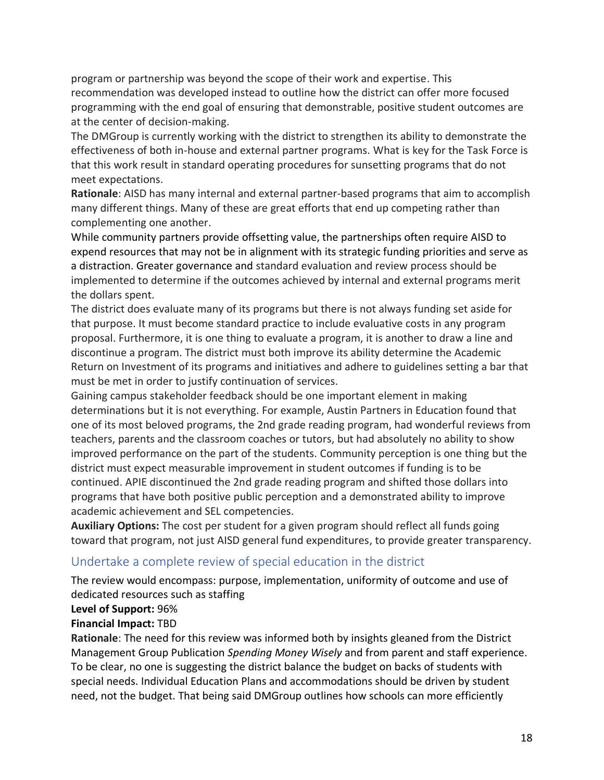program or partnership was beyond the scope of their work and expertise. This recommendation was developed instead to outline how the district can offer more focused programming with the end goal of ensuring that demonstrable, positive student outcomes are at the center of decision-making.

The DMGroup is currently working with the district to strengthen its ability to demonstrate the effectiveness of both in-house and external partner programs. What is key for the Task Force is that this work result in standard operating procedures for sunsetting programs that do not meet expectations.

**Rationale**: AISD has many internal and external partner-based programs that aim to accomplish many different things. Many of these are great efforts that end up competing rather than complementing one another.

While community partners provide offsetting value, the partnerships often require AISD to expend resources that may not be in alignment with its strategic funding priorities and serve as a distraction. Greater governance and standard evaluation and review process should be implemented to determine if the outcomes achieved by internal and external programs merit the dollars spent.

The district does evaluate many of its programs but there is not always funding set aside for that purpose. It must become standard practice to include evaluative costs in any program proposal. Furthermore, it is one thing to evaluate a program, it is another to draw a line and discontinue a program. The district must both improve its ability determine the Academic Return on Investment of its programs and initiatives and adhere to guidelines setting a bar that must be met in order to justify continuation of services.

Gaining campus stakeholder feedback should be one important element in making determinations but it is not everything. For example, Austin Partners in Education found that one of its most beloved programs, the 2nd grade reading program, had wonderful reviews from teachers, parents and the classroom coaches or tutors, but had absolutely no ability to show improved performance on the part of the students. Community perception is one thing but the district must expect measurable improvement in student outcomes if funding is to be continued. APIE discontinued the 2nd grade reading program and shifted those dollars into programs that have both positive public perception and a demonstrated ability to improve academic achievement and SEL competencies.

**Auxiliary Options:** The cost per student for a given program should reflect all funds going toward that program, not just AISD general fund expenditures, to provide greater transparency.

#### Undertake a complete review of special education in the district

The review would encompass: purpose, implementation, uniformity of outcome and use of dedicated resources such as staffing

#### **Level of Support:** 96%

#### **Financial Impact:** TBD

**Rationale**: The need for this review was informed both by insights gleaned from the District Management Group Publication *Spending Money Wisely* and from parent and staff experience. To be clear, no one is suggesting the district balance the budget on backs of students with special needs. Individual Education Plans and accommodations should be driven by student need, not the budget. That being said DMGroup outlines how schools can more efficiently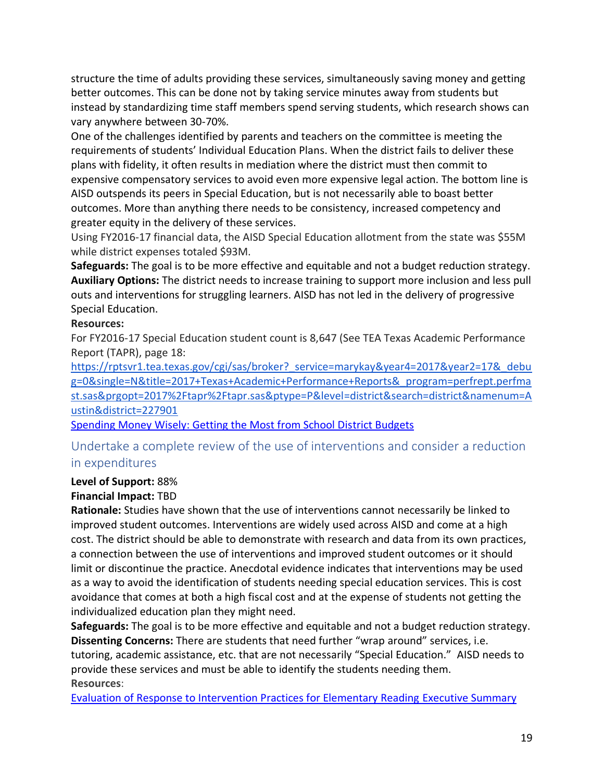structure the time of adults providing these services, simultaneously saving money and getting better outcomes. This can be done not by taking service minutes away from students but instead by standardizing time staff members spend serving students, which research shows can vary anywhere between 30-70%.

One of the challenges identified by parents and teachers on the committee is meeting the requirements of students' Individual Education Plans. When the district fails to deliver these plans with fidelity, it often results in mediation where the district must then commit to expensive compensatory services to avoid even more expensive legal action. The bottom line is AISD outspends its peers in Special Education, but is not necessarily able to boast better outcomes. More than anything there needs to be consistency, increased competency and greater equity in the delivery of these services.

Using FY2016-17 financial data, the AISD Special Education allotment from the state was \$55M while district expenses totaled \$93M.

**Safeguards:** The goal is to be more effective and equitable and not a budget reduction strategy. **Auxiliary Options:** The district needs to increase training to support more inclusion and less pull outs and interventions for struggling learners. AISD has not led in the delivery of progressive Special Education.

#### **Resources:**

For FY2016-17 Special Education student count is 8,647 (See TEA Texas Academic Performance Report (TAPR), page 18[:](https://rptsvr1.tea.texas.gov/cgi/sas/broker?_service=marykay&year4=2017&year2=17&_debug=0&single=N&title=2017+Texas+Academic+Performance+Reports&_program=perfrept.perfmast.sas&prgopt=2017%2Ftapr%2Ftapr.sas&ptype=P&level=district&search=district&namenum=Austin&district=227901)

[https://rptsvr1.tea.texas.gov/cgi/sas/broker?\\_service=marykay&year4=2017&year2=17&\\_debu](https://rptsvr1.tea.texas.gov/cgi/sas/broker?_service=marykay&year4=2017&year2=17&_debug=0&single=N&title=2017+Texas+Academic+Performance+Reports&_program=perfrept.perfmast.sas&prgopt=2017%2Ftapr%2Ftapr.sas&ptype=P&level=district&search=district&namenum=Austin&district=227901) [g=0&single=N&title=2017+Texas+Academic+Performance+Reports&\\_program=perfrept.perfma](https://rptsvr1.tea.texas.gov/cgi/sas/broker?_service=marykay&year4=2017&year2=17&_debug=0&single=N&title=2017+Texas+Academic+Performance+Reports&_program=perfrept.perfmast.sas&prgopt=2017%2Ftapr%2Ftapr.sas&ptype=P&level=district&search=district&namenum=Austin&district=227901) [st.sas&prgopt=2017%2Ftapr%2Ftapr.sas&ptype=P&level=district&search=district&namenum=A](https://rptsvr1.tea.texas.gov/cgi/sas/broker?_service=marykay&year4=2017&year2=17&_debug=0&single=N&title=2017+Texas+Academic+Performance+Reports&_program=perfrept.perfmast.sas&prgopt=2017%2Ftapr%2Ftapr.sas&ptype=P&level=district&search=district&namenum=Austin&district=227901) [ustin&district=227901](https://rptsvr1.tea.texas.gov/cgi/sas/broker?_service=marykay&year4=2017&year2=17&_debug=0&single=N&title=2017+Texas+Academic+Performance+Reports&_program=perfrept.perfmast.sas&prgopt=2017%2Ftapr%2Ftapr.sas&ptype=P&level=district&search=district&namenum=Austin&district=227901)

[Spending Money Wisely: Getting the Most from School District Budgets](https://www.dmgroupk12.com/docmanlinks/dmj/32-spending-money-wisely-getting-the-most-from-school-district-budgets-e-book-1/file)

## Undertake a complete review of the use of interventions and consider a reduction in expenditures

#### **Level of Support:** 88%

#### **Financial Impact:** TBD

**Rationale:** Studies have shown that the use of interventions cannot necessarily be linked to improved student outcomes. Interventions are widely used across AISD and come at a high cost. The district should be able to demonstrate with research and data from its own practices, a connection between the use of interventions and improved student outcomes or it should limit or discontinue the practice. Anecdotal evidence indicates that interventions may be used as a way to avoid the identification of students needing special education services. This is cost avoidance that comes at both a high fiscal cost and at the expense of students not getting the individualized education plan they might need.

**Safeguards:** The goal is to be more effective and equitable and not a budget reduction strategy. **Dissenting Concerns:** There are students that need further "wrap around" services, i.e. tutoring, academic assistance, etc. that are not necessarily "Special Education." AISD needs to provide these services and must be able to identify the students needing them. **Resources**:

[Evaluation of Response to Intervention Practices for Elementary Reading](https://ies.ed.gov/ncee/pubs/20164000/pdf/20164000_es.pdf) Executive Summary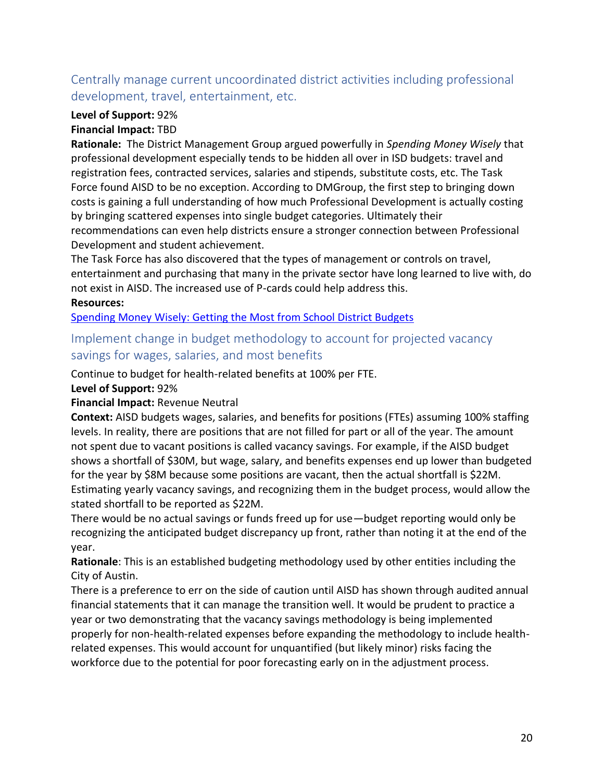## Centrally manage current uncoordinated district activities including professional development, travel, entertainment, etc.

### **Level of Support:** 92%

#### **Financial Impact:** TBD

**Rationale:** The District Management Group argued powerfully in *Spending Money Wisely* that professional development especially tends to be hidden all over in ISD budgets: travel and registration fees, contracted services, salaries and stipends, substitute costs, etc. The Task Force found AISD to be no exception. According to DMGroup, the first step to bringing down costs is gaining a full understanding of how much Professional Development is actually costing by bringing scattered expenses into single budget categories. Ultimately their recommendations can even help districts ensure a stronger connection between Professional Development and student achievement.

The Task Force has also discovered that the types of management or controls on travel, entertainment and purchasing that many in the private sector have long learned to live with, do not exist in AISD. The increased use of P-cards could help address this.

#### **Resources:**

[Spending Money Wisely: Getting the Most from School District Budgets](https://www.dmgroupk12.com/docmanlinks/dmj/32-spending-money-wisely-getting-the-most-from-school-district-budgets-e-book-1/file)

### Implement change in budget methodology to account for projected vacancy savings for wages, salaries, and most benefits

Continue to budget for health-related benefits at 100% per FTE.

**Level of Support:** 92%

#### **Financial Impact:** Revenue Neutral

**Context:** AISD budgets wages, salaries, and benefits for positions (FTEs) assuming 100% staffing levels. In reality, there are positions that are not filled for part or all of the year. The amount not spent due to vacant positions is called vacancy savings. For example, if the AISD budget shows a shortfall of \$30M, but wage, salary, and benefits expenses end up lower than budgeted for the year by \$8M because some positions are vacant, then the actual shortfall is \$22M. Estimating yearly vacancy savings, and recognizing them in the budget process, would allow the stated shortfall to be reported as \$22M.

There would be no actual savings or funds freed up for use—budget reporting would only be recognizing the anticipated budget discrepancy up front, rather than noting it at the end of the year.

**Rationale**: This is an established budgeting methodology used by other entities including the City of Austin.

There is a preference to err on the side of caution until AISD has shown through audited annual financial statements that it can manage the transition well. It would be prudent to practice a year or two demonstrating that the vacancy savings methodology is being implemented properly for non-health-related expenses before expanding the methodology to include healthrelated expenses. This would account for unquantified (but likely minor) risks facing the workforce due to the potential for poor forecasting early on in the adjustment process.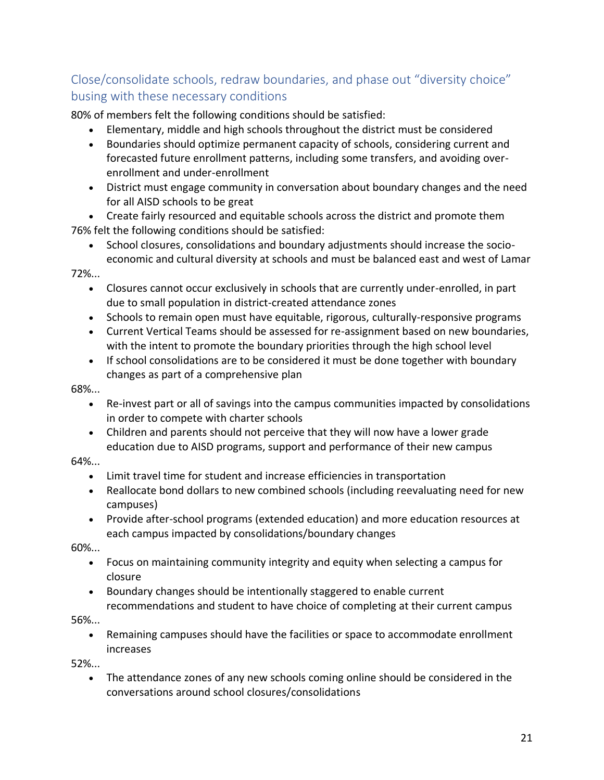## Close/consolidate schools, redraw boundaries, and phase out "diversity choice" busing with these necessary conditions

80% of members felt the following conditions should be satisfied:

- Elementary, middle and high schools throughout the district must be considered
- Boundaries should optimize permanent capacity of schools, considering current and forecasted future enrollment patterns, including some transfers, and avoiding overenrollment and under-enrollment
- District must engage community in conversation about boundary changes and the need for all AISD schools to be great

• Create fairly resourced and equitable schools across the district and promote them 76% felt the following conditions should be satisfied:

• School closures, consolidations and boundary adjustments should increase the socioeconomic and cultural diversity at schools and must be balanced east and west of Lamar

#### 72%...

- Closures cannot occur exclusively in schools that are currently under-enrolled, in part due to small population in district-created attendance zones
- Schools to remain open must have equitable, rigorous, culturally-responsive programs
- Current Vertical Teams should be assessed for re-assignment based on new boundaries, with the intent to promote the boundary priorities through the high school level
- If school consolidations are to be considered it must be done together with boundary changes as part of a comprehensive plan

#### 68%...

- Re-invest part or all of savings into the campus communities impacted by consolidations in order to compete with charter schools
- Children and parents should not perceive that they will now have a lower grade education due to AISD programs, support and performance of their new campus

#### 64%...

- Limit travel time for student and increase efficiencies in transportation
- Reallocate bond dollars to new combined schools (including reevaluating need for new campuses)
- Provide after-school programs (extended education) and more education resources at each campus impacted by consolidations/boundary changes

60%...

- Focus on maintaining community integrity and equity when selecting a campus for closure
- Boundary changes should be intentionally staggered to enable current recommendations and student to have choice of completing at their current campus

#### 56%...

• Remaining campuses should have the facilities or space to accommodate enrollment increases

52%...

• The attendance zones of any new schools coming online should be considered in the conversations around school closures/consolidations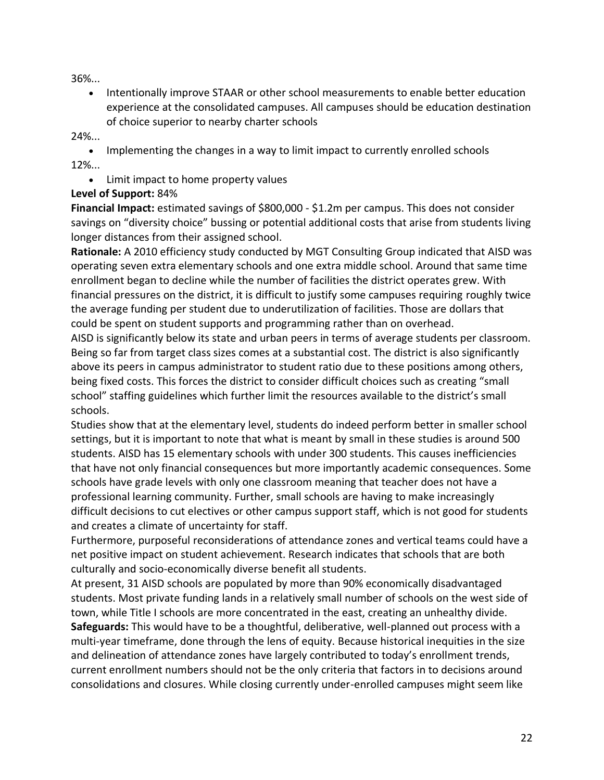36%...

• Intentionally improve STAAR or other school measurements to enable better education experience at the consolidated campuses. All campuses should be education destination of choice superior to nearby charter schools

24%...

• Implementing the changes in a way to limit impact to currently enrolled schools 12%...

• Limit impact to home property values

#### **Level of Support:** 84%

**Financial Impact:** estimated savings of \$800,000 - \$1.2m per campus. This does not consider savings on "diversity choice" bussing or potential additional costs that arise from students living longer distances from their assigned school.

**Rationale:** A 2010 efficiency study conducted by MGT Consulting Group indicated that AISD was operating seven extra elementary schools and one extra middle school. Around that same time enrollment began to decline while the number of facilities the district operates grew. With financial pressures on the district, it is difficult to justify some campuses requiring roughly twice the average funding per student due to underutilization of facilities. Those are dollars that could be spent on student supports and programming rather than on overhead.

AISD is significantly below its state and urban peers in terms of average students per classroom. Being so far from target class sizes comes at a substantial cost. The district is also significantly above its peers in campus administrator to student ratio due to these positions among others, being fixed costs. This forces the district to consider difficult choices such as creating "small school" staffing guidelines which further limit the resources available to the district's small schools.

Studies show that at the elementary level, students do indeed perform better in smaller school settings, but it is important to note that what is meant by small in these studies is around 500 students. AISD has 15 elementary schools with under 300 students. This causes inefficiencies that have not only financial consequences but more importantly academic consequences. Some schools have grade levels with only one classroom meaning that teacher does not have a professional learning community. Further, small schools are having to make increasingly difficult decisions to cut electives or other campus support staff, which is not good for students and creates a climate of uncertainty for staff.

Furthermore, purposeful reconsiderations of attendance zones and vertical teams could have a net positive impact on student achievement. Research indicates that schools that are both culturally and socio-economically diverse benefit all students.

At present, 31 AISD schools are populated by more than 90% economically disadvantaged students. Most private funding lands in a relatively small number of schools on the west side of town, while Title I schools are more concentrated in the east, creating an unhealthy divide. **Safeguards:** This would have to be a thoughtful, deliberative, well-planned out process with a multi-year timeframe, done through the lens of equity. Because historical inequities in the size and delineation of attendance zones have largely contributed to today's enrollment trends, current enrollment numbers should not be the only criteria that factors in to decisions around consolidations and closures. While closing currently under-enrolled campuses might seem like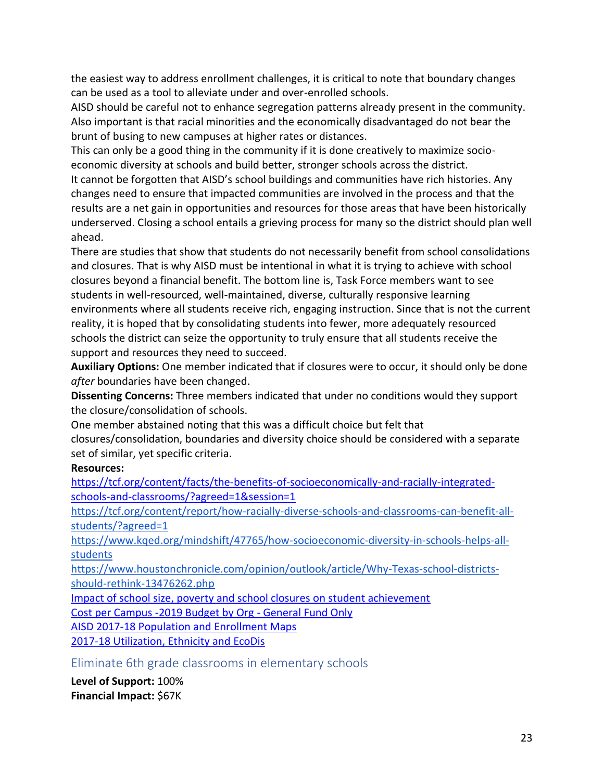the easiest way to address enrollment challenges, it is critical to note that boundary changes can be used as a tool to alleviate under and over-enrolled schools.

AISD should be careful not to enhance segregation patterns already present in the community. Also important is that racial minorities and the economically disadvantaged do not bear the brunt of busing to new campuses at higher rates or distances.

This can only be a good thing in the community if it is done creatively to maximize socioeconomic diversity at schools and build better, stronger schools across the district.

It cannot be forgotten that AISD's school buildings and communities have rich histories. Any changes need to ensure that impacted communities are involved in the process and that the results are a net gain in opportunities and resources for those areas that have been historically underserved. Closing a school entails a grieving process for many so the district should plan well ahead.

There are studies that show that students do not necessarily benefit from school consolidations and closures. That is why AISD must be intentional in what it is trying to achieve with school closures beyond a financial benefit. The bottom line is, Task Force members want to see students in well-resourced, well-maintained, diverse, culturally responsive learning environments where all students receive rich, engaging instruction. Since that is not the current reality, it is hoped that by consolidating students into fewer, more adequately resourced schools the district can seize the opportunity to truly ensure that all students receive the support and resources they need to succeed.

**Auxiliary Options:** One member indicated that if closures were to occur, it should only be done *after* boundaries have been changed.

**Dissenting Concerns:** Three members indicated that under no conditions would they support the closure/consolidation of schools.

One member abstained noting that this was a difficult choice but felt that closures/consolidation, boundaries and diversity choice should be considered with a separate set of similar, yet specific criteria.

#### **Resources:**

[https://tcf.org/content/facts/the-benefits-of-socioeconomically-and-racially-integrated](https://tcf.org/content/facts/the-benefits-of-socioeconomically-and-racially-integrated-schools-and-classrooms/?agreed=1&session=1)[schools-and-classrooms/?agreed=1&session=1](https://tcf.org/content/facts/the-benefits-of-socioeconomically-and-racially-integrated-schools-and-classrooms/?agreed=1&session=1)

[https://tcf.org/content/report/how-racially-diverse-schools-and-classrooms-can-benefit-all](https://tcf.org/content/report/how-racially-diverse-schools-and-classrooms-can-benefit-all-students/?agreed=1)[students/?agreed=1](https://tcf.org/content/report/how-racially-diverse-schools-and-classrooms-can-benefit-all-students/?agreed=1)

[https://www.kqed.org/mindshift/47765/how-socioeconomic-diversity-in-schools-helps-all](https://www.kqed.org/mindshift/47765/how-socioeconomic-diversity-in-schools-helps-all-students)[students](https://www.kqed.org/mindshift/47765/how-socioeconomic-diversity-in-schools-helps-all-students)

[https://www.houstonchronicle.com/opinion/outlook/article/Why-Texas-school-districts](https://www.houstonchronicle.com/opinion/outlook/article/Why-Texas-school-districts-should-rethink-13476262.php)[should-rethink-13476262.php](https://www.houstonchronicle.com/opinion/outlook/article/Why-Texas-school-districts-should-rethink-13476262.php)

[Impact](https://drive.google.com/drive/u/0/folders/1FPXhD88bXsL99XoLEj9QWf1ZGMzRTQNt) of school size, poverty and school closures on student achievement

Cost per Campus -2019 Budget by Org - [General](Cost%20per%20Campus%20-2019%20Budget%20by%20Org%20-%20General%20Fund%20Only) Fund Only

[AISD 2017-18 Population and Enrollment Maps](https://drive.google.com/drive/u/0/folders/1CgTPG7hPOtEWMw7n120DJEFxlneBDAMm)

[2017-18 Utilization, Ethnicity and EcoDis](https://docs.google.com/spreadsheets/d/18ZLYwH2HuURtCrG0x0ReuougHdd_1Cyxj8TEiF9g7Jk/edit#gid=1923851894)

Eliminate 6th grade classrooms in elementary schools

**Level of Support:** 100% **Financial Impact:** \$67K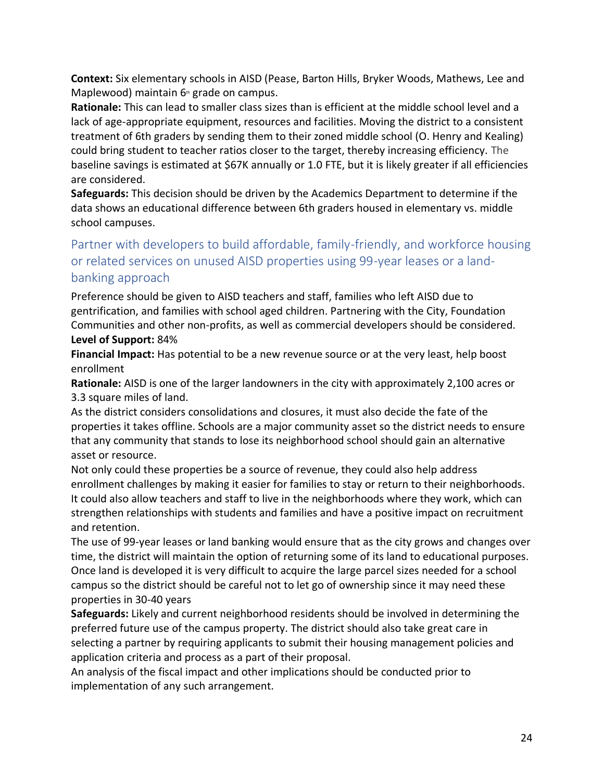**Context:** Six elementary schools in AISD (Pease, Barton Hills, Bryker Woods, Mathews, Lee and Maplewood) maintain  $6<sup>th</sup>$  grade on campus.

**Rationale:** This can lead to smaller class sizes than is efficient at the middle school level and a lack of age-appropriate equipment, resources and facilities. Moving the district to a consistent treatment of 6th graders by sending them to their zoned middle school (O. Henry and Kealing) could bring student to teacher ratios closer to the target, thereby increasing efficiency. The baseline savings is estimated at \$67K annually or 1.0 FTE, but it is likely greater if all efficiencies are considered.

**Safeguards:** This decision should be driven by the Academics Department to determine if the data shows an educational difference between 6th graders housed in elementary vs. middle school campuses.

## Partner with developers to build affordable, family-friendly, and workforce housing or related services on unused AISD properties using 99-year leases or a landbanking approach

Preference should be given to AISD teachers and staff, families who left AISD due to gentrification, and families with school aged children. Partnering with the City, Foundation Communities and other non-profits, as well as commercial developers should be considered. **Level of Support:** 84%

**Financial Impact:** Has potential to be a new revenue source or at the very least, help boost enrollment

**Rationale:** AISD is one of the larger landowners in the city with approximately 2,100 acres or 3.3 square miles of land.

As the district considers consolidations and closures, it must also decide the fate of the properties it takes offline. Schools are a major community asset so the district needs to ensure that any community that stands to lose its neighborhood school should gain an alternative asset or resource.

Not only could these properties be a source of revenue, they could also help address enrollment challenges by making it easier for families to stay or return to their neighborhoods. It could also allow teachers and staff to live in the neighborhoods where they work, which can strengthen relationships with students and families and have a positive impact on recruitment and retention.

The use of 99-year leases or land banking would ensure that as the city grows and changes over time, the district will maintain the option of returning some of its land to educational purposes. Once land is developed it is very difficult to acquire the large parcel sizes needed for a school campus so the district should be careful not to let go of ownership since it may need these properties in 30-40 years

**Safeguards:** Likely and current neighborhood residents should be involved in determining the preferred future use of the campus property. The district should also take great care in selecting a partner by requiring applicants to submit their housing management policies and application criteria and process as a part of their proposal.

An analysis of the fiscal impact and other implications should be conducted prior to implementation of any such arrangement.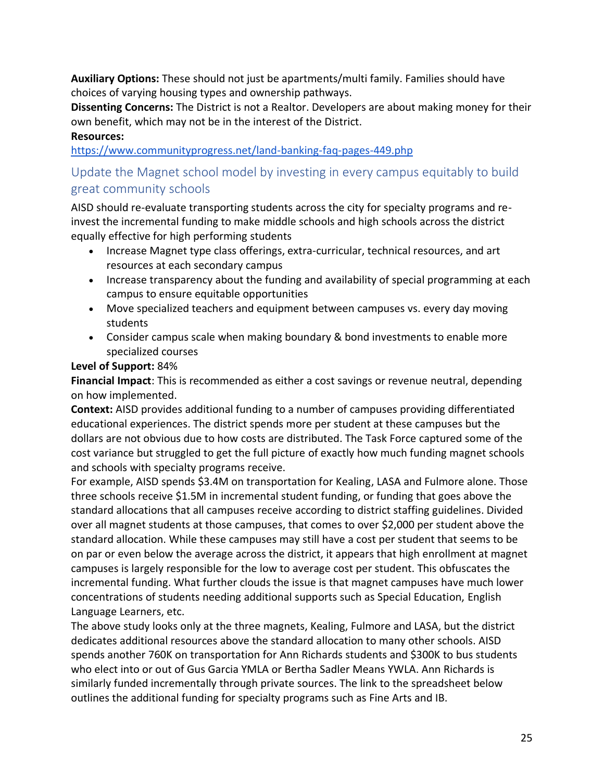**Auxiliary Options:** These should not just be apartments/multi family. Families should have choices of varying housing types and ownership pathways.

**Dissenting Concerns:** The District is not a Realtor. Developers are about making money for their own benefit, which may not be in the interest of the District.

#### **Resources:**

<https://www.communityprogress.net/land-banking-faq-pages-449.php>

## Update the Magnet school model by investing in every campus equitably to build great community schools

AISD should re-evaluate transporting students across the city for specialty programs and reinvest the incremental funding to make middle schools and high schools across the district equally effective for high performing students

- Increase Magnet type class offerings, extra-curricular, technical resources, and art resources at each secondary campus
- Increase transparency about the funding and availability of special programming at each campus to ensure equitable opportunities
- Move specialized teachers and equipment between campuses vs. every day moving students
- Consider campus scale when making boundary & bond investments to enable more specialized courses

#### **Level of Support:** 84%

**Financial Impact**: This is recommended as either a cost savings or revenue neutral, depending on how implemented.

**Context:** AISD provides additional funding to a number of campuses providing differentiated educational experiences. The district spends more per student at these campuses but the dollars are not obvious due to how costs are distributed. The Task Force captured some of the cost variance but struggled to get the full picture of exactly how much funding magnet schools and schools with specialty programs receive.

For example, AISD spends \$3.4M on transportation for Kealing, LASA and Fulmore alone. Those three schools receive \$1.5M in incremental student funding, or funding that goes above the standard allocations that all campuses receive according to district staffing guidelines. Divided over all magnet students at those campuses, that comes to over \$2,000 per student above the standard allocation. While these campuses may still have a cost per student that seems to be on par or even below the average across the district, it appears that high enrollment at magnet campuses is largely responsible for the low to average cost per student. This obfuscates the incremental funding. What further clouds the issue is that magnet campuses have much lower concentrations of students needing additional supports such as Special Education, English Language Learners, etc.

The above study looks only at the three magnets, Kealing, Fulmore and LASA, but the district dedicates additional resources above the standard allocation to many other schools. AISD spends another 760K on transportation for Ann Richards students and \$300K to bus students who elect into or out of Gus Garcia YMLA or Bertha Sadler Means YWLA. Ann Richards is similarly funded incrementally through private sources. The link to the spreadsheet below outlines the additional funding for specialty programs such as Fine Arts and IB.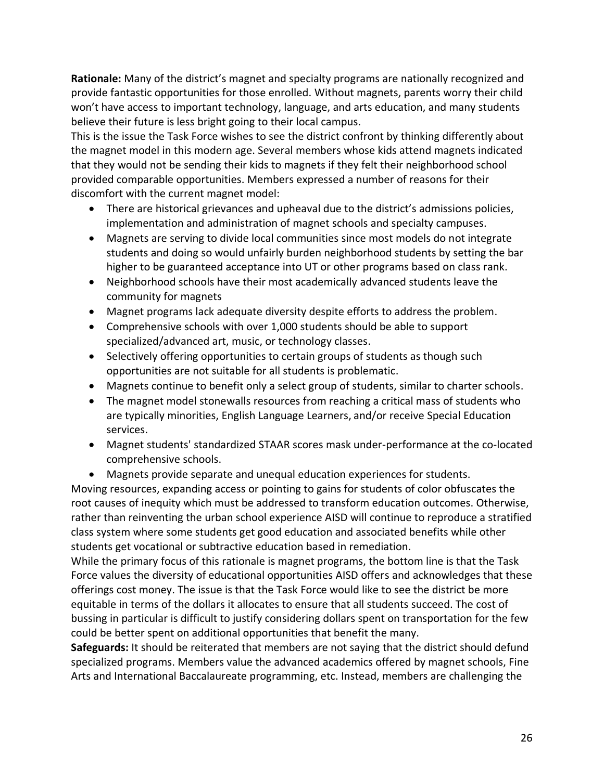**Rationale:** Many of the district's magnet and specialty programs are nationally recognized and provide fantastic opportunities for those enrolled. Without magnets, parents worry their child won't have access to important technology, language, and arts education, and many students believe their future is less bright going to their local campus.

This is the issue the Task Force wishes to see the district confront by thinking differently about the magnet model in this modern age. Several members whose kids attend magnets indicated that they would not be sending their kids to magnets if they felt their neighborhood school provided comparable opportunities. Members expressed a number of reasons for their discomfort with the current magnet model:

- There are historical grievances and upheaval due to the district's admissions policies, implementation and administration of magnet schools and specialty campuses.
- Magnets are serving to divide local communities since most models do not integrate students and doing so would unfairly burden neighborhood students by setting the bar higher to be guaranteed acceptance into UT or other programs based on class rank.
- Neighborhood schools have their most academically advanced students leave the community for magnets
- Magnet programs lack adequate diversity despite efforts to address the problem.
- Comprehensive schools with over 1,000 students should be able to support specialized/advanced art, music, or technology classes.
- Selectively offering opportunities to certain groups of students as though such opportunities are not suitable for all students is problematic.
- Magnets continue to benefit only a select group of students, similar to charter schools.
- The magnet model stonewalls resources from reaching a critical mass of students who are typically minorities, English Language Learners, and/or receive Special Education services.
- Magnet students' standardized STAAR scores mask under-performance at the co-located comprehensive schools.
- Magnets provide separate and unequal education experiences for students.

Moving resources, expanding access or pointing to gains for students of color obfuscates the root causes of inequity which must be addressed to transform education outcomes. Otherwise, rather than reinventing the urban school experience AISD will continue to reproduce a stratified class system where some students get good education and associated benefits while other students get vocational or subtractive education based in remediation.

While the primary focus of this rationale is magnet programs, the bottom line is that the Task Force values the diversity of educational opportunities AISD offers and acknowledges that these offerings cost money. The issue is that the Task Force would like to see the district be more equitable in terms of the dollars it allocates to ensure that all students succeed. The cost of bussing in particular is difficult to justify considering dollars spent on transportation for the few could be better spent on additional opportunities that benefit the many.

**Safeguards:** It should be reiterated that members are not saying that the district should defund specialized programs. Members value the advanced academics offered by magnet schools, Fine Arts and International Baccalaureate programming, etc. Instead, members are challenging the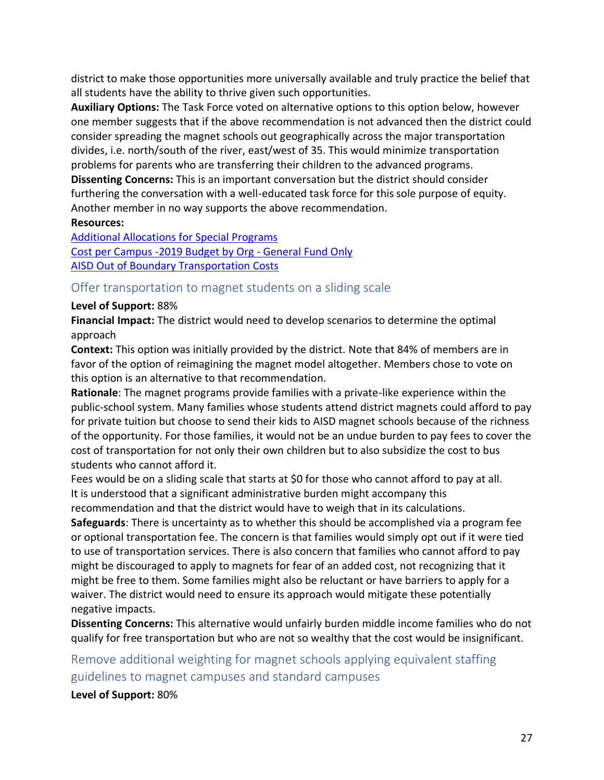district to make those opportunities more universally available and truly practice the belief that all students have the ability to thrive given such opportunities.

**Auxiliary Options:** The Task Force voted on alternative options to this option below, however one member suggests that if the above recommendation is not advanced then the district could consider spreading the magnet schools out geographically across the major transportation divides, i.e. north/south of the river, east/west of 35. This would minimize transportation problems for parents who are transferring their children to the advanced programs. **Dissenting Concerns:** This is an important conversation but the district should consider furthering the conversation with a well-educated task force for this sole purpose of equity. Another member in no way supports the above recommendation.

#### **Resources:**

[Additional Allocations for Special Programs](https://docs.google.com/spreadsheets/d/1PUcdl5nLhZz1D8cE8BAo8DQQze6DFyw3xyXi0wfRguI/edit#gid=1454731227) Cost per Campus -2019 Budget by Org - [General](Cost%20per%20Campus%20-2019%20Budget%20by%20Org%20-%20General%20Fund%20Only) Fund Only [AISD Out of Boundary Transportation Costs](https://drive.google.com/drive/u/0/folders/1hlrIcOwSb4GzqcOLq0nfIIu_-ax_SOno)

#### Offer transportation to magnet students on a sliding scale

#### **Level of Support:** 88%

**Financial Impact:** The district would need to develop scenarios to determine the optimal approach

**Context:** This option was initially provided by the district. Note that 84% of members are in favor of the option of reimagining the magnet model altogether. Members chose to vote on this option is an alternative to that recommendation.

**Rationale**: The magnet programs provide families with a private-like experience within the public-school system. Many families whose students attend district magnets could afford to pay for private tuition but choose to send their kids to AISD magnet schools because of the richness of the opportunity. For those families, it would not be an undue burden to pay fees to cover the cost of transportation for not only their own children but to also subsidize the cost to bus students who cannot afford it.

Fees would be on a sliding scale that starts at \$0 for those who cannot afford to pay at all. It is understood that a significant administrative burden might accompany this recommendation and that the district would have to weigh that in its calculations.

**Safeguards**: There is uncertainty as to whether this should be accomplished via a program fee or optional transportation fee. The concern is that families would simply opt out if it were tied to use of transportation services. There is also concern that families who cannot afford to pay might be discouraged to apply to magnets for fear of an added cost, not recognizing that it might be free to them. Some families might also be reluctant or have barriers to apply for a waiver. The district would need to ensure its approach would mitigate these potentially negative impacts.

**Dissenting Concerns:** This alternative would unfairly burden middle income families who do not qualify for free transportation but who are not so wealthy that the cost would be insignificant.

Remove additional weighting for magnet schools applying equivalent staffing guidelines to magnet campuses and standard campuses

**Level of Support:** 80%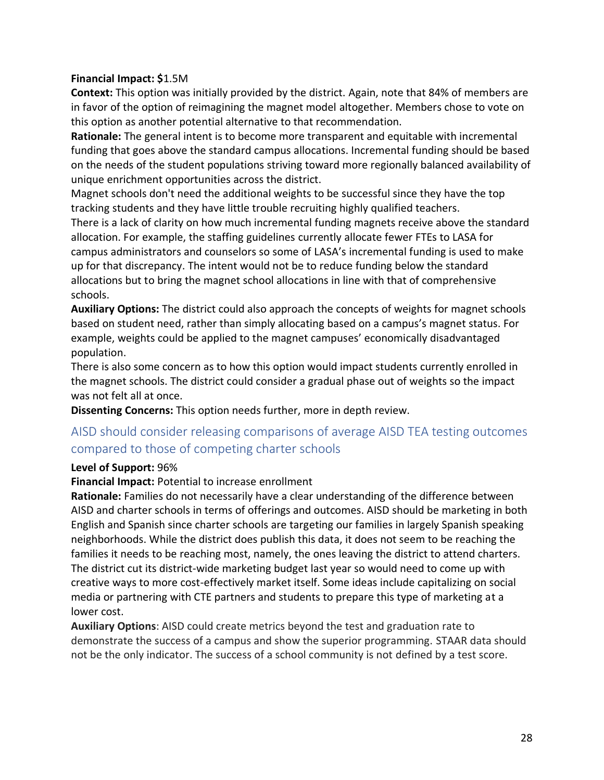#### **Financial Impact: \$**1.5M

**Context:** This option was initially provided by the district. Again, note that 84% of members are in favor of the option of reimagining the magnet model altogether. Members chose to vote on this option as another potential alternative to that recommendation.

**Rationale:** The general intent is to become more transparent and equitable with incremental funding that goes above the standard campus allocations. Incremental funding should be based on the needs of the student populations striving toward more regionally balanced availability of unique enrichment opportunities across the district.

Magnet schools don't need the additional weights to be successful since they have the top tracking students and they have little trouble recruiting highly qualified teachers.

There is a lack of clarity on how much incremental funding magnets receive above the standard allocation. For example, the staffing guidelines currently allocate fewer FTEs to LASA for campus administrators and counselors so some of LASA's incremental funding is used to make up for that discrepancy. The intent would not be to reduce funding below the standard allocations but to bring the magnet school allocations in line with that of comprehensive schools.

**Auxiliary Options:** The district could also approach the concepts of weights for magnet schools based on student need, rather than simply allocating based on a campus's magnet status. For example, weights could be applied to the magnet campuses' economically disadvantaged population.

There is also some concern as to how this option would impact students currently enrolled in the magnet schools. The district could consider a gradual phase out of weights so the impact was not felt all at once.

**Dissenting Concerns:** This option needs further, more in depth review.

## AISD should consider releasing comparisons of average AISD TEA testing outcomes compared to those of competing charter schools

#### **Level of Support:** 96%

#### **Financial Impact:** Potential to increase enrollment

**Rationale:** Families do not necessarily have a clear understanding of the difference between AISD and charter schools in terms of offerings and outcomes. AISD should be marketing in both English and Spanish since charter schools are targeting our families in largely Spanish speaking neighborhoods. While the district does publish this data, it does not seem to be reaching the families it needs to be reaching most, namely, the ones leaving the district to attend charters. The district cut its district-wide marketing budget last year so would need to come up with creative ways to more cost-effectively market itself. Some ideas include capitalizing on social media or partnering with CTE partners and students to prepare this type of marketing at a lower cost.

**Auxiliary Options**: AISD could create metrics beyond the test and graduation rate to demonstrate the success of a campus and show the superior programming. STAAR data should not be the only indicator. The success of a school community is not defined by a test score.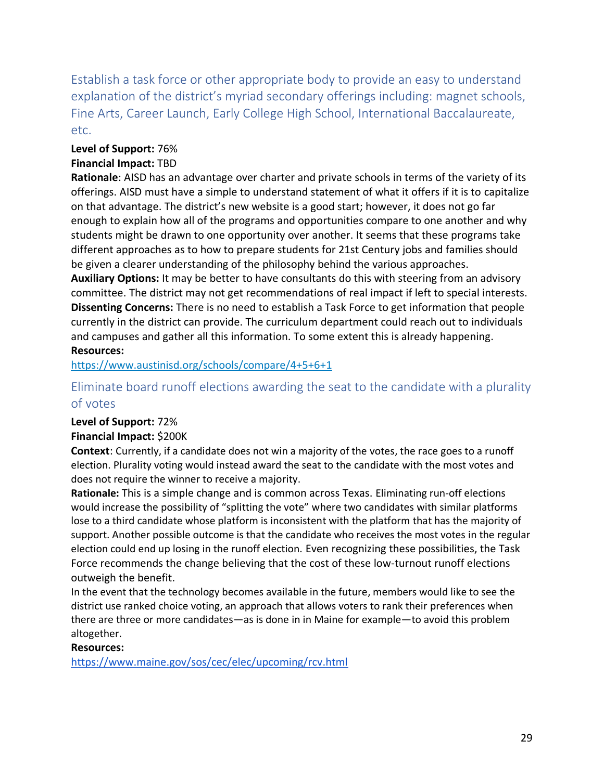Establish a task force or other appropriate body to provide an easy to understand explanation of the district's myriad secondary offerings including: magnet schools, Fine Arts, Career Launch, Early College High School, International Baccalaureate, etc.

## **Level of Support:** 76%

#### **Financial Impact:** TBD

**Rationale**: AISD has an advantage over charter and private schools in terms of the variety of its offerings. AISD must have a simple to understand statement of what it offers if it is to capitalize on that advantage. The district's new website is a good start; however, it does not go far enough to explain how all of the programs and opportunities compare to one another and why students might be drawn to one opportunity over another. It seems that these programs take different approaches as to how to prepare students for 21st Century jobs and families should be given a clearer understanding of the philosophy behind the various approaches.

**Auxiliary Options:** It may be better to have consultants do this with steering from an advisory committee. The district may not get recommendations of real impact if left to special interests. **Dissenting Concerns:** There is no need to establish a Task Force to get information that people currently in the district can provide. The curriculum department could reach out to individuals and campuses and gather all this information. To some extent this is already happening.

#### **Resources:**

#### <https://www.austinisd.org/schools/compare/4+5+6+1>

## Eliminate board runoff elections awarding the seat to the candidate with a plurality of votes

#### **Level of Support:** 72%

#### **Financial Impact:** \$200K

**Context**: Currently, if a candidate does not win a majority of the votes, the race goes to a runoff election. Plurality voting would instead award the seat to the candidate with the most votes and does not require the winner to receive a majority.

**Rationale:** This is a simple change and is common across Texas. Eliminating run-off elections would increase the possibility of "splitting the vote" where two candidates with similar platforms lose to a third candidate whose platform is inconsistent with the platform that has the majority of support. Another possible outcome is that the candidate who receives the most votes in the regular election could end up losing in the runoff election. Even recognizing these possibilities, the Task Force recommends the change believing that the cost of these low-turnout runoff elections outweigh the benefit.

In the event that the technology becomes available in the future, members would like to see the district use ranked choice voting, an approach that allows voters to rank their preferences when there are three or more candidates—as is done in in Maine for example—to avoid this problem altogether.

#### **Resources:**

<https://www.maine.gov/sos/cec/elec/upcoming/rcv.html>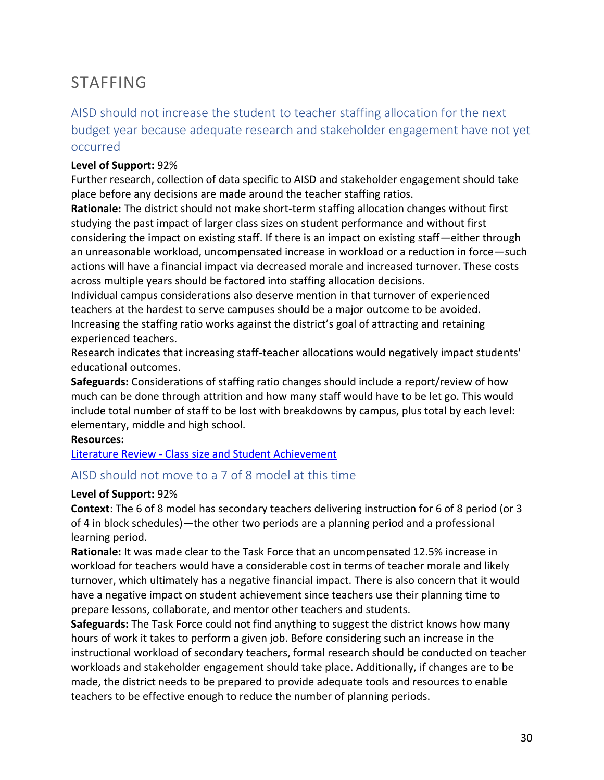## STAFFING

## AISD should not increase the student to teacher staffing allocation for the next budget year because adequate research and stakeholder engagement have not yet occurred

#### **Level of Support:** 92%

Further research, collection of data specific to AISD and stakeholder engagement should take place before any decisions are made around the teacher staffing ratios.

**Rationale:** The district should not make short-term staffing allocation changes without first studying the past impact of larger class sizes on student performance and without first considering the impact on existing staff. If there is an impact on existing staff—either through an unreasonable workload, uncompensated increase in workload or a reduction in force—such actions will have a financial impact via decreased morale and increased turnover. These costs across multiple years should be factored into staffing allocation decisions.

Individual campus considerations also deserve mention in that turnover of experienced teachers at the hardest to serve campuses should be a major outcome to be avoided. Increasing the staffing ratio works against the district's goal of attracting and retaining experienced teachers.

Research indicates that increasing staff-teacher allocations would negatively impact students' educational outcomes.

**Safeguards:** Considerations of staffing ratio changes should include a report/review of how much can be done through attrition and how many staff would have to be let go. This would include total number of staff to be lost with breakdowns by campus, plus total by each level: elementary, middle and high school.

#### **Resources:**

Literature Review - [Class size and Student Achievement](https://docs.google.com/document/d/1XzRIIYI79Eyxr7o8mckDELpSZB8bvXBuWrrzU9_gtDc/edit)

#### AISD should not move to a 7 of 8 model at this time

#### **Level of Support:** 92%

**Context**: The 6 of 8 model has secondary teachers delivering instruction for 6 of 8 period (or 3 of 4 in block schedules)—the other two periods are a planning period and a professional learning period.

**Rationale:** It was made clear to the Task Force that an uncompensated 12.5% increase in workload for teachers would have a considerable cost in terms of teacher morale and likely turnover, which ultimately has a negative financial impact. There is also concern that it would have a negative impact on student achievement since teachers use their planning time to prepare lessons, collaborate, and mentor other teachers and students.

**Safeguards:** The Task Force could not find anything to suggest the district knows how many hours of work it takes to perform a given job. Before considering such an increase in the instructional workload of secondary teachers, formal research should be conducted on teacher workloads and stakeholder engagement should take place. Additionally, if changes are to be made, the district needs to be prepared to provide adequate tools and resources to enable teachers to be effective enough to reduce the number of planning periods.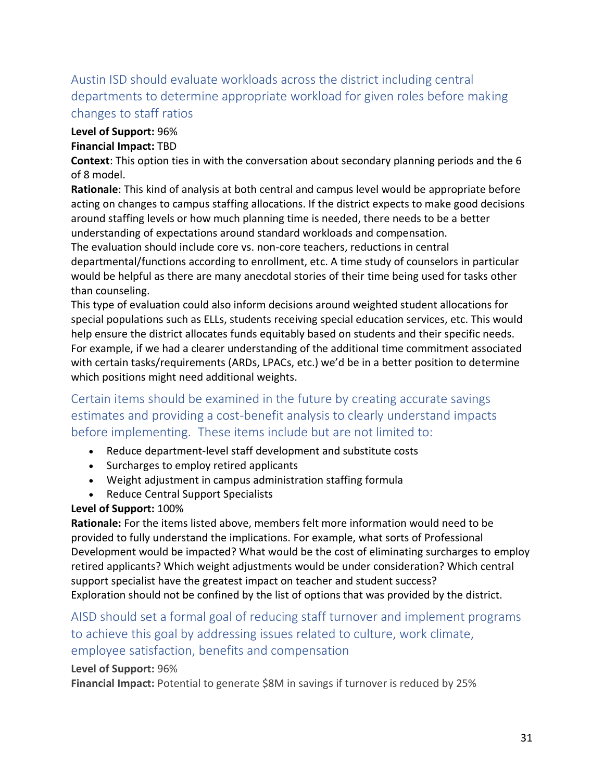## Austin ISD should evaluate workloads across the district including central departments to determine appropriate workload for given roles before making changes to staff ratios

#### **Level of Support:** 96%

#### **Financial Impact:** TBD

**Context**: This option ties in with the conversation about secondary planning periods and the 6 of 8 model.

**Rationale**: This kind of analysis at both central and campus level would be appropriate before acting on changes to campus staffing allocations. If the district expects to make good decisions around staffing levels or how much planning time is needed, there needs to be a better understanding of expectations around standard workloads and compensation.

The evaluation should include core vs. non-core teachers, reductions in central departmental/functions according to enrollment, etc. A time study of counselors in particular would be helpful as there are many anecdotal stories of their time being used for tasks other than counseling.

This type of evaluation could also inform decisions around weighted student allocations for special populations such as ELLs, students receiving special education services, etc. This would help ensure the district allocates funds equitably based on students and their specific needs. For example, if we had a clearer understanding of the additional time commitment associated with certain tasks/requirements (ARDs, LPACs, etc.) we'd be in a better position to determine which positions might need additional weights.

## Certain items should be examined in the future by creating accurate savings estimates and providing a cost-benefit analysis to clearly understand impacts before implementing. These items include but are not limited to:

- Reduce department-level staff development and substitute costs
- Surcharges to employ retired applicants
- Weight adjustment in campus administration staffing formula
- Reduce Central Support Specialists

#### **Level of Support:** 100%

**Rationale:** For the items listed above, members felt more information would need to be provided to fully understand the implications. For example, what sorts of Professional Development would be impacted? What would be the cost of eliminating surcharges to employ retired applicants? Which weight adjustments would be under consideration? Which central support specialist have the greatest impact on teacher and student success? Exploration should not be confined by the list of options that was provided by the district.

## AISD should set a formal goal of reducing staff turnover and implement programs to achieve this goal by addressing issues related to culture, work climate, employee satisfaction, benefits and compensation

#### **Level of Support:** 96%

**Financial Impact:** Potential to generate \$8M in savings if turnover is reduced by 25%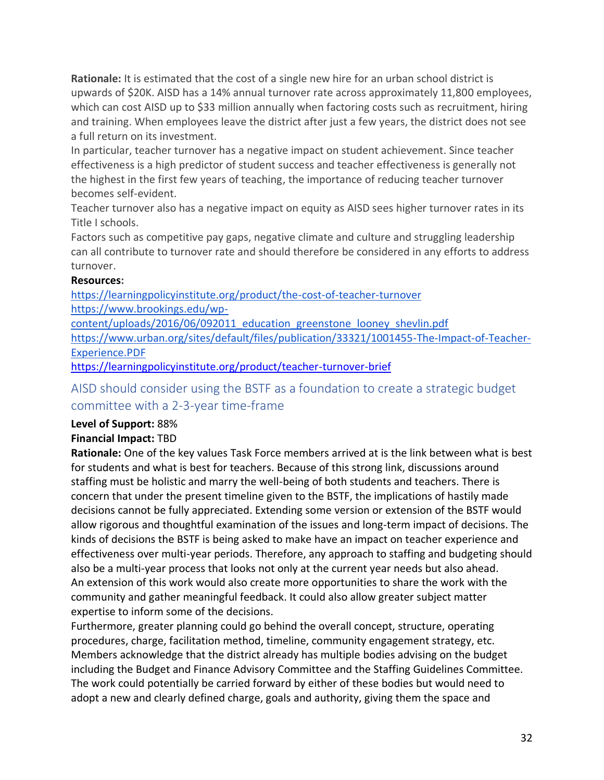**Rationale:** It is estimated that the cost of a single new hire for an urban school district is upwards of \$20K. AISD has a 14% annual turnover rate across approximately 11,800 employees, which can cost AISD up to \$33 million annually when factoring costs such as recruitment, hiring and training. When employees leave the district after just a few years, the district does not see a full return on its investment.

In particular, teacher turnover has a negative impact on student achievement. Since teacher effectiveness is a high predictor of student success and teacher effectiveness is generally not the highest in the first few years of teaching, the importance of reducing teacher turnover becomes self-evident.

Teacher turnover also has a negative impact on equity as AISD sees higher turnover rates in its Title I schools.

Factors such as competitive pay gaps, negative climate and culture and struggling leadership can all contribute to turnover rate and should therefore be considered in any efforts to address turnover.

#### **Resources:**

<https://learningpolicyinstitute.org/product/the-cost-of-teacher-turnover> [https://www.brookings.edu/wp](https://www.brookings.edu/wp-content/uploads/2016/06/092011_education_greenstone_looney_shevlin.pdf)[content/uploads/2016/06/092011\\_education\\_greenstone\\_looney\\_shevlin.pdf](https://www.brookings.edu/wp-content/uploads/2016/06/092011_education_greenstone_looney_shevlin.pdf) [https://www.urban.org/sites/default/files/publication/33321/1001455-The-Impact-of-Teacher-](https://www.urban.org/sites/default/files/publication/33321/1001455-The-Impact-of-Teacher-Experience.PDF)

[Experience.PDF](https://www.urban.org/sites/default/files/publication/33321/1001455-The-Impact-of-Teacher-Experience.PDF)

<https://learningpolicyinstitute.org/product/teacher-turnover-brief>

## AISD should consider using the BSTF as a foundation to create a strategic budget committee with a 2-3-year time-frame

#### **Level of Support:** 88%

#### **Financial Impact:** TBD

**Rationale:** One of the key values Task Force members arrived at is the link between what is best for students and what is best for teachers. Because of this strong link, discussions around staffing must be holistic and marry the well-being of both students and teachers. There is concern that under the present timeline given to the BSTF, the implications of hastily made decisions cannot be fully appreciated. Extending some version or extension of the BSTF would allow rigorous and thoughtful examination of the issues and long-term impact of decisions. The kinds of decisions the BSTF is being asked to make have an impact on teacher experience and effectiveness over multi-year periods. Therefore, any approach to staffing and budgeting should also be a multi-year process that looks not only at the current year needs but also ahead. An extension of this work would also create more opportunities to share the work with the community and gather meaningful feedback. It could also allow greater subject matter expertise to inform some of the decisions.

Furthermore, greater planning could go behind the overall concept, structure, operating procedures, charge, facilitation method, timeline, community engagement strategy, etc. Members acknowledge that the district already has multiple bodies advising on the budget including the Budget and Finance Advisory Committee and the Staffing Guidelines Committee. The work could potentially be carried forward by either of these bodies but would need to adopt a new and clearly defined charge, goals and authority, giving them the space and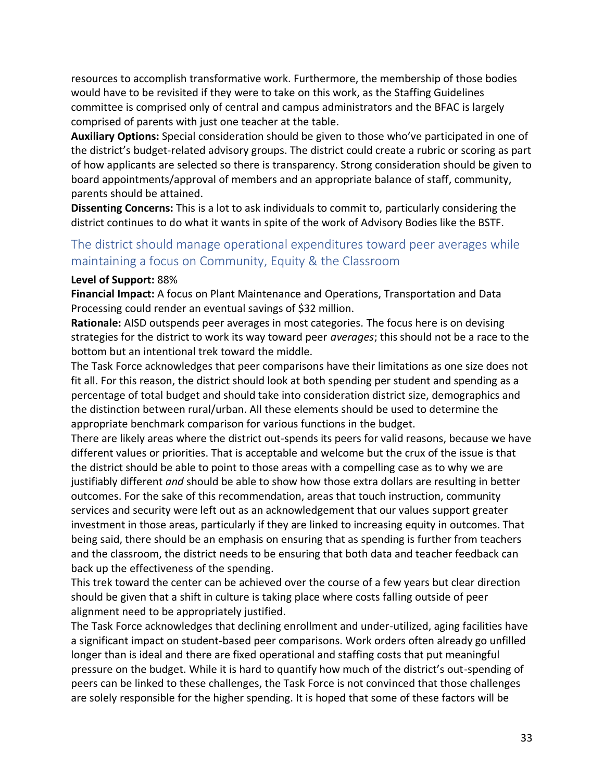resources to accomplish transformative work. Furthermore, the membership of those bodies would have to be revisited if they were to take on this work, as the Staffing Guidelines committee is comprised only of central and campus administrators and the BFAC is largely comprised of parents with just one teacher at the table.

**Auxiliary Options:** Special consideration should be given to those who've participated in one of the district's budget-related advisory groups. The district could create a rubric or scoring as part of how applicants are selected so there is transparency. Strong consideration should be given to board appointments/approval of members and an appropriate balance of staff, community, parents should be attained.

**Dissenting Concerns:** This is a lot to ask individuals to commit to, particularly considering the district continues to do what it wants in spite of the work of Advisory Bodies like the BSTF.

## The district should manage operational expenditures toward peer averages while maintaining a focus on Community, Equity & the Classroom

#### **Level of Support:** 88%

**Financial Impact:** A focus on Plant Maintenance and Operations, Transportation and Data Processing could render an eventual savings of \$32 million.

**Rationale:** AISD outspends peer averages in most categories. The focus here is on devising strategies for the district to work its way toward peer *averages*; this should not be a race to the bottom but an intentional trek toward the middle.

The Task Force acknowledges that peer comparisons have their limitations as one size does not fit all. For this reason, the district should look at both spending per student and spending as a percentage of total budget and should take into consideration district size, demographics and the distinction between rural/urban. All these elements should be used to determine the appropriate benchmark comparison for various functions in the budget.

There are likely areas where the district out-spends its peers for valid reasons, because we have different values or priorities. That is acceptable and welcome but the crux of the issue is that the district should be able to point to those areas with a compelling case as to why we are justifiably different *and* should be able to show how those extra dollars are resulting in better outcomes. For the sake of this recommendation, areas that touch instruction, community services and security were left out as an acknowledgement that our values support greater investment in those areas, particularly if they are linked to increasing equity in outcomes. That being said, there should be an emphasis on ensuring that as spending is further from teachers and the classroom, the district needs to be ensuring that both data and teacher feedback can back up the effectiveness of the spending.

This trek toward the center can be achieved over the course of a few years but clear direction should be given that a shift in culture is taking place where costs falling outside of peer alignment need to be appropriately justified.

The Task Force acknowledges that declining enrollment and under-utilized, aging facilities have a significant impact on student-based peer comparisons. Work orders often already go unfilled longer than is ideal and there are fixed operational and staffing costs that put meaningful pressure on the budget. While it is hard to quantify how much of the district's out-spending of peers can be linked to these challenges, the Task Force is not convinced that those challenges are solely responsible for the higher spending. It is hoped that some of these factors will be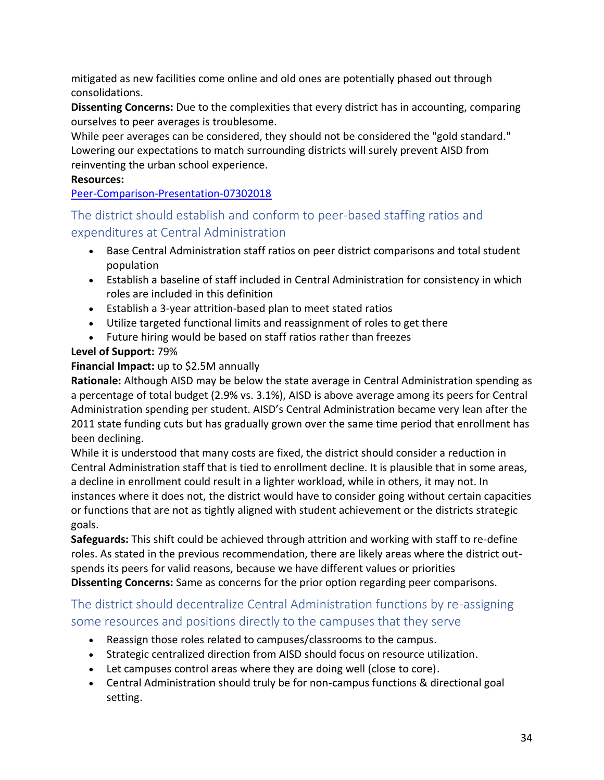mitigated as new facilities come online and old ones are potentially phased out through consolidations.

**Dissenting Concerns:** Due to the complexities that every district has in accounting, comparing ourselves to peer averages is troublesome.

While peer averages can be considered, they should not be considered the "gold standard." Lowering our expectations to match surrounding districts will surely prevent AISD from reinventing the urban school experience.

#### **Resources:**

[Peer-Comparison-Presentation-07302018](https://drive.google.com/drive/u/0/folders/1ENbmqjDRpblp26zuCrC5Il07uwvZcWXh)

## The district should establish and conform to peer-based staffing ratios and expenditures at Central Administration

- Base Central Administration staff ratios on peer district comparisons and total student population
- Establish a baseline of staff included in Central Administration for consistency in which roles are included in this definition
- Establish a 3-year attrition-based plan to meet stated ratios
- Utilize targeted functional limits and reassignment of roles to get there
- Future hiring would be based on staff ratios rather than freezes

### **Level of Support:** 79%

#### **Financial Impact:** up to \$2.5M annually

**Rationale:** Although AISD may be below the state average in Central Administration spending as a percentage of total budget (2.9% vs. 3.1%), AISD is above average among its peers for Central Administration spending per student. AISD's Central Administration became very lean after the 2011 state funding cuts but has gradually grown over the same time period that enrollment has been declining.

While it is understood that many costs are fixed, the district should consider a reduction in Central Administration staff that is tied to enrollment decline. It is plausible that in some areas, a decline in enrollment could result in a lighter workload, while in others, it may not. In instances where it does not, the district would have to consider going without certain capacities or functions that are not as tightly aligned with student achievement or the districts strategic goals.

**Safeguards:** This shift could be achieved through attrition and working with staff to re-define roles. As stated in the previous recommendation, there are likely areas where the district outspends its peers for valid reasons, because we have different values or priorities **Dissenting Concerns:** Same as concerns for the prior option regarding peer comparisons.

## The district should decentralize Central Administration functions by re-assigning some resources and positions directly to the campuses that they serve

- Reassign those roles related to campuses/classrooms to the campus.
- Strategic centralized direction from AISD should focus on resource utilization.
- Let campuses control areas where they are doing well (close to core).
- Central Administration should truly be for non-campus functions & directional goal setting.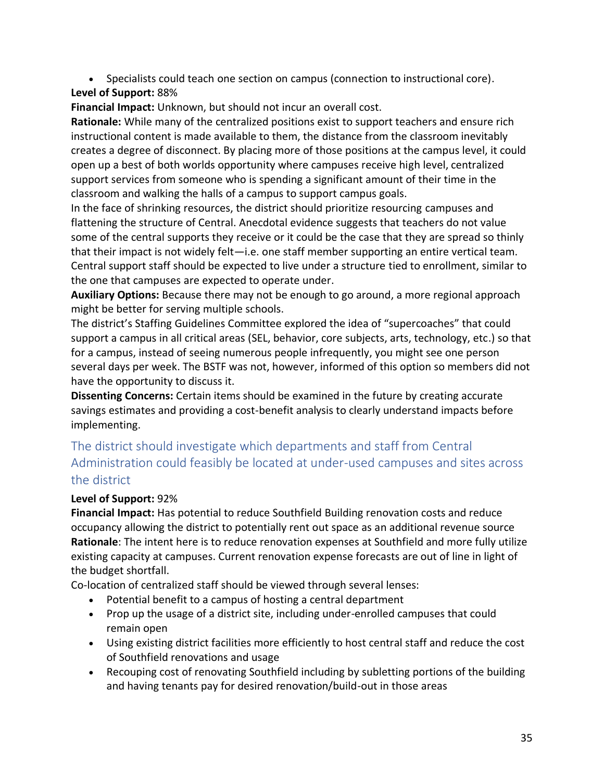• Specialists could teach one section on campus (connection to instructional core).

### **Level of Support:** 88%

**Financial Impact:** Unknown, but should not incur an overall cost.

**Rationale:** While many of the centralized positions exist to support teachers and ensure rich instructional content is made available to them, the distance from the classroom inevitably creates a degree of disconnect. By placing more of those positions at the campus level, it could open up a best of both worlds opportunity where campuses receive high level, centralized support services from someone who is spending a significant amount of their time in the classroom and walking the halls of a campus to support campus goals.

In the face of shrinking resources, the district should prioritize resourcing campuses and flattening the structure of Central. Anecdotal evidence suggests that teachers do not value some of the central supports they receive or it could be the case that they are spread so thinly that their impact is not widely felt—i.e. one staff member supporting an entire vertical team. Central support staff should be expected to live under a structure tied to enrollment, similar to the one that campuses are expected to operate under.

**Auxiliary Options:** Because there may not be enough to go around, a more regional approach might be better for serving multiple schools.

The district's Staffing Guidelines Committee explored the idea of "supercoaches" that could support a campus in all critical areas (SEL, behavior, core subjects, arts, technology, etc.) so that for a campus, instead of seeing numerous people infrequently, you might see one person several days per week. The BSTF was not, however, informed of this option so members did not have the opportunity to discuss it.

**Dissenting Concerns:** Certain items should be examined in the future by creating accurate savings estimates and providing a cost-benefit analysis to clearly understand impacts before implementing.

## The district should investigate which departments and staff from Central Administration could feasibly be located at under-used campuses and sites across the district

#### **Level of Support:** 92%

**Financial Impact:** Has potential to reduce Southfield Building renovation costs and reduce occupancy allowing the district to potentially rent out space as an additional revenue source **Rationale**: The intent here is to reduce renovation expenses at Southfield and more fully utilize existing capacity at campuses. Current renovation expense forecasts are out of line in light of the budget shortfall.

Co-location of centralized staff should be viewed through several lenses:

- Potential benefit to a campus of hosting a central department
- Prop up the usage of a district site, including under-enrolled campuses that could remain open
- Using existing district facilities more efficiently to host central staff and reduce the cost of Southfield renovations and usage
- Recouping cost of renovating Southfield including by subletting portions of the building and having tenants pay for desired renovation/build-out in those areas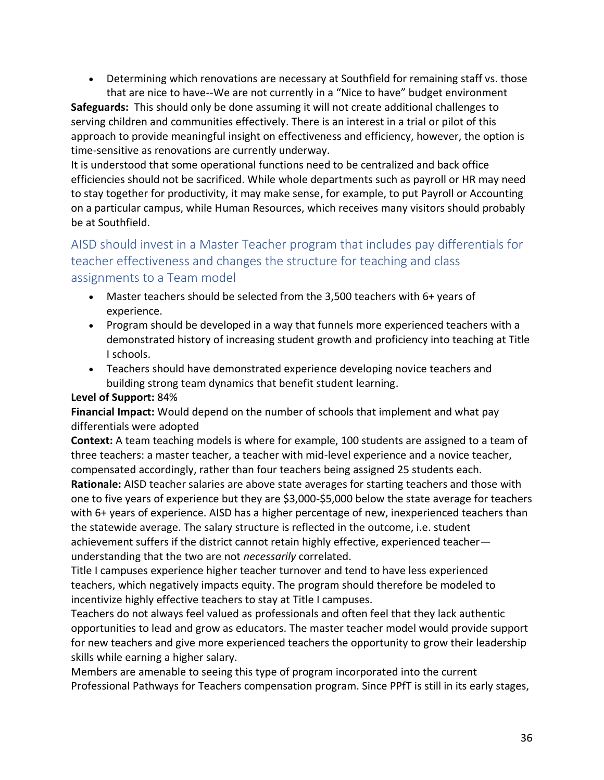• Determining which renovations are necessary at Southfield for remaining staff vs. those that are nice to have--We are not currently in a "Nice to have" budget environment

**Safeguards:** This should only be done assuming it will not create additional challenges to serving children and communities effectively. There is an interest in a trial or pilot of this approach to provide meaningful insight on effectiveness and efficiency, however, the option is time-sensitive as renovations are currently underway.

It is understood that some operational functions need to be centralized and back office efficiencies should not be sacrificed. While whole departments such as payroll or HR may need to stay together for productivity, it may make sense, for example, to put Payroll or Accounting on a particular campus, while Human Resources, which receives many visitors should probably be at Southfield.

## AISD should invest in a Master Teacher program that includes pay differentials for teacher effectiveness and changes the structure for teaching and class assignments to a Team model

- Master teachers should be selected from the 3,500 teachers with 6+ years of experience.
- Program should be developed in a way that funnels more experienced teachers with a demonstrated history of increasing student growth and proficiency into teaching at Title I schools.
- Teachers should have demonstrated experience developing novice teachers and building strong team dynamics that benefit student learning.

#### **Level of Support:** 84%

**Financial Impact:** Would depend on the number of schools that implement and what pay differentials were adopted

**Context:** A team teaching models is where for example, 100 students are assigned to a team of three teachers: a master teacher, a teacher with mid-level experience and a novice teacher, compensated accordingly, rather than four teachers being assigned 25 students each. **Rationale:** AISD teacher salaries are above state averages for starting teachers and those with one to five years of experience but they are \$3,000-\$5,000 below the state average for teachers with 6+ years of experience. AISD has a higher percentage of new, inexperienced teachers than the statewide average. The salary structure is reflected in the outcome, i.e. student achievement suffers if the district cannot retain highly effective, experienced teacher understanding that the two are not *necessarily* correlated.

Title I campuses experience higher teacher turnover and tend to have less experienced teachers, which negatively impacts equity. The program should therefore be modeled to incentivize highly effective teachers to stay at Title I campuses.

Teachers do not always feel valued as professionals and often feel that they lack authentic opportunities to lead and grow as educators. The master teacher model would provide support for new teachers and give more experienced teachers the opportunity to grow their leadership skills while earning a higher salary.

Members are amenable to seeing this type of program incorporated into the current Professional Pathways for Teachers compensation program. Since PPfT is still in its early stages,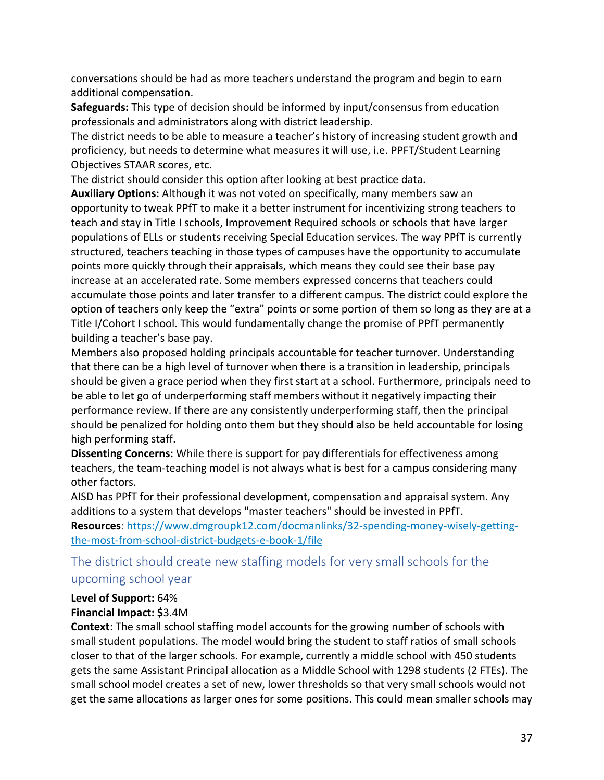conversations should be had as more teachers understand the program and begin to earn additional compensation.

**Safeguards:** This type of decision should be informed by input/consensus from education professionals and administrators along with district leadership.

The district needs to be able to measure a teacher's history of increasing student growth and proficiency, but needs to determine what measures it will use, i.e. PPFT/Student Learning Objectives STAAR scores, etc.

The district should consider this option after looking at best practice data.

**Auxiliary Options:** Although it was not voted on specifically, many members saw an opportunity to tweak PPfT to make it a better instrument for incentivizing strong teachers to teach and stay in Title I schools, Improvement Required schools or schools that have larger populations of ELLs or students receiving Special Education services. The way PPfT is currently structured, teachers teaching in those types of campuses have the opportunity to accumulate points more quickly through their appraisals, which means they could see their base pay increase at an accelerated rate. Some members expressed concerns that teachers could accumulate those points and later transfer to a different campus. The district could explore the option of teachers only keep the "extra" points or some portion of them so long as they are at a Title I/Cohort I school. This would fundamentally change the promise of PPfT permanently building a teacher's base pay.

Members also proposed holding principals accountable for teacher turnover. Understanding that there can be a high level of turnover when there is a transition in leadership, principals should be given a grace period when they first start at a school. Furthermore, principals need to be able to let go of underperforming staff members without it negatively impacting their performance review. If there are any consistently underperforming staff, then the principal should be penalized for holding onto them but they should also be held accountable for losing high performing staff.

**Dissenting Concerns:** While there is support for pay differentials for effectiveness among teachers, the team-teaching model is not always what is best for a campus considering many other factors.

AISD has PPfT for their professional development, compensation and appraisal system. Any additions to a system that develops "master teachers" should be invested in PPfT. **Resources**: [https://www.dmgroupk12.com/docmanlinks/32-spending-money-wisely-getting](https://www.dmgroupk12.com/docmanlinks/32-spending-money-wisely-getting-the-most-from-school-district-budgets-e-book-1/file)[the-most-from-school-district-budgets-e-book-1/file](https://www.dmgroupk12.com/docmanlinks/32-spending-money-wisely-getting-the-most-from-school-district-budgets-e-book-1/file)

The district should create new staffing models for very small schools for the upcoming school year

#### **Level of Support:** 64%

#### **Financial Impact: \$**3.4M

**Context**: The small school staffing model accounts for the growing number of schools with small student populations. The model would bring the student to staff ratios of small schools closer to that of the larger schools. For example, currently a middle school with 450 students gets the same Assistant Principal allocation as a Middle School with 1298 students (2 FTEs). The small school model creates a set of new, lower thresholds so that very small schools would not get the same allocations as larger ones for some positions. This could mean smaller schools may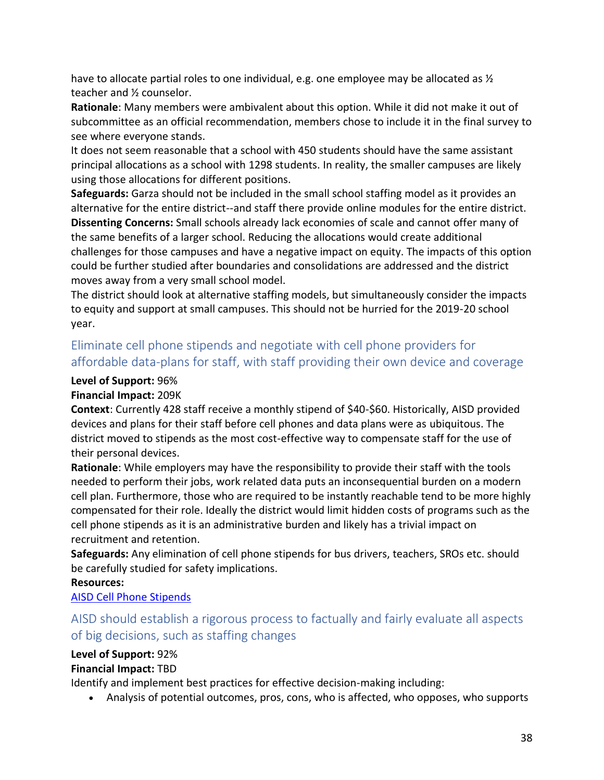have to allocate partial roles to one individual, e.g. one employee may be allocated as  $\frac{1}{2}$ teacher and ½ counselor.

**Rationale**: Many members were ambivalent about this option. While it did not make it out of subcommittee as an official recommendation, members chose to include it in the final survey to see where everyone stands.

It does not seem reasonable that a school with 450 students should have the same assistant principal allocations as a school with 1298 students. In reality, the smaller campuses are likely using those allocations for different positions.

**Safeguards:** Garza should not be included in the small school staffing model as it provides an alternative for the entire district--and staff there provide online modules for the entire district. **Dissenting Concerns:** Small schools already lack economies of scale and cannot offer many of the same benefits of a larger school. Reducing the allocations would create additional challenges for those campuses and have a negative impact on equity. The impacts of this option could be further studied after boundaries and consolidations are addressed and the district moves away from a very small school model.

The district should look at alternative staffing models, but simultaneously consider the impacts to equity and support at small campuses. This should not be hurried for the 2019-20 school year.

## Eliminate cell phone stipends and negotiate with cell phone providers for affordable data-plans for staff, with staff providing their own device and coverage

#### **Level of Support:** 96%

#### **Financial Impact:** 209K

**Context**: Currently 428 staff receive a monthly stipend of \$40-\$60. Historically, AISD provided devices and plans for their staff before cell phones and data plans were as ubiquitous. The district moved to stipends as the most cost-effective way to compensate staff for the use of their personal devices.

**Rationale**: While employers may have the responsibility to provide their staff with the tools needed to perform their jobs, work related data puts an inconsequential burden on a modern cell plan. Furthermore, those who are required to be instantly reachable tend to be more highly compensated for their role. Ideally the district would limit hidden costs of programs such as the cell phone stipends as it is an administrative burden and likely has a trivial impact on recruitment and retention.

**Safeguards:** Any elimination of cell phone stipends for bus drivers, teachers, SROs etc. should be carefully studied for safety implications.

#### **Resources:**

#### [AISD Cell Phone Stipends](https://drive.google.com/drive/u/0/folders/16yOk80zNDY6Ji88-9dKt3NkvW1pPmrxv)

## AISD should establish a rigorous process to factually and fairly evaluate all aspects of big decisions, such as staffing changes

#### **Level of Support:** 92%

#### **Financial Impact:** TBD

Identify and implement best practices for effective decision-making including:

• Analysis of potential outcomes, pros, cons, who is affected, who opposes, who supports